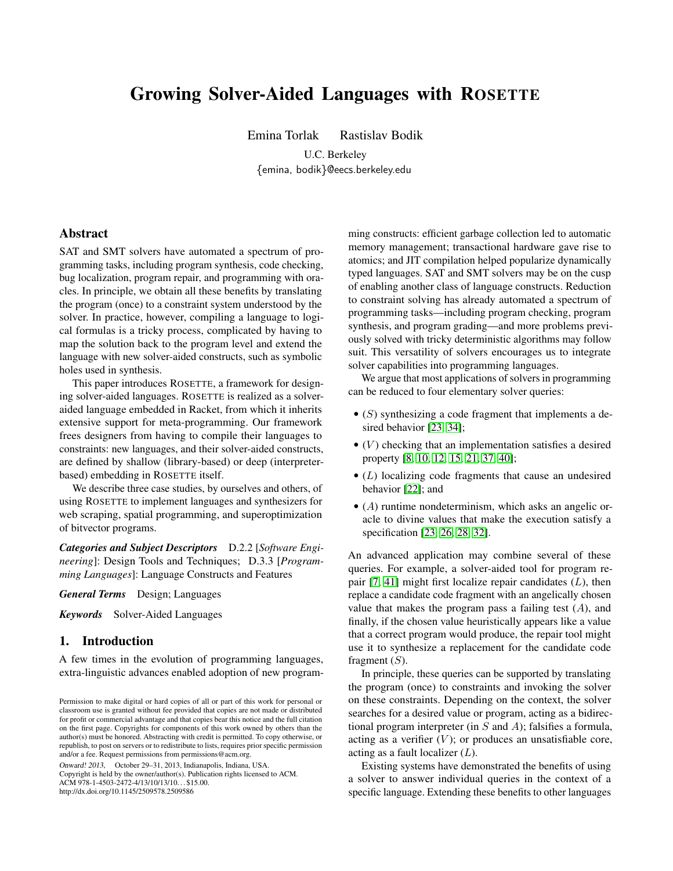# Growing Solver-Aided Languages with ROSETTE

Emina Torlak Rastislav Bodik

U.C. Berkeley {emina, bodik}@eecs.berkeley.edu

## Abstract

SAT and SMT solvers have automated a spectrum of programming tasks, including program synthesis, code checking, bug localization, program repair, and programming with oracles. In principle, we obtain all these benefits by translating the program (once) to a constraint system understood by the solver. In practice, however, compiling a language to logical formulas is a tricky process, complicated by having to map the solution back to the program level and extend the language with new solver-aided constructs, such as symbolic holes used in synthesis.

This paper introduces ROSETTE, a framework for designing solver-aided languages. ROSETTE is realized as a solveraided language embedded in Racket, from which it inherits extensive support for meta-programming. Our framework frees designers from having to compile their languages to constraints: new languages, and their solver-aided constructs, are defined by shallow (library-based) or deep (interpreterbased) embedding in ROSETTE itself.

We describe three case studies, by ourselves and others, of using ROSETTE to implement languages and synthesizers for web scraping, spatial programming, and superoptimization of bitvector programs.

*Categories and Subject Descriptors* D.2.2 [*Software Engineering*]: Design Tools and Techniques; D.3.3 [*Programming Languages*]: Language Constructs and Features

*General Terms* Design; Languages

*Keywords* Solver-Aided Languages

## 1. Introduction

A few times in the evolution of programming languages, extra-linguistic advances enabled adoption of new program-

Onward! 2013, October 29–31, 2013, Indianapolis, Indiana, USA.

Copyright is held by the owner/author(s). Publication rights licensed to ACM. ACM 978-1-4503-2472-4/13/10/13/10. . . \$15.00. http://dx.doi.org/10.1145/2509578.2509586

ming constructs: efficient garbage collection led to automatic memory management; transactional hardware gave rise to atomics; and JIT compilation helped popularize dynamically typed languages. SAT and SMT solvers may be on the cusp of enabling another class of language constructs. Reduction to constraint solving has already automated a spectrum of programming tasks—including program checking, program synthesis, and program grading—and more problems previously solved with tricky deterministic algorithms may follow suit. This versatility of solvers encourages us to integrate solver capabilities into programming languages.

We argue that most applications of solvers in programming can be reduced to four elementary solver queries:

- $\bullet$  (S) synthesizing a code fragment that implements a de-sired behavior [\[23,](#page-15-0) [34\]](#page-16-0);
- $\bullet$  (V) checking that an implementation satisfies a desired property [\[8,](#page-15-1) [10,](#page-15-2) [12,](#page-15-3) [15,](#page-15-4) [21,](#page-15-5) [37,](#page-16-1) [40\]](#page-16-2);
- $\bullet$  (*L*) localizing code fragments that cause an undesired behavior [\[22\]](#page-15-6); and
- $\bullet$  (A) runtime nondeterminism, which asks an angelic oracle to divine values that make the execution satisfy a specification [\[23,](#page-15-0) [26,](#page-15-7) [28,](#page-16-3) [32\]](#page-16-4).

An advanced application may combine several of these queries. For example, a solver-aided tool for program repair  $[7, 41]$  $[7, 41]$  $[7, 41]$  might first localize repair candidates  $(L)$ , then replace a candidate code fragment with an angelically chosen value that makes the program pass a failing test  $(A)$ , and finally, if the chosen value heuristically appears like a value that a correct program would produce, the repair tool might use it to synthesize a replacement for the candidate code fragment  $(S)$ .

In principle, these queries can be supported by translating the program (once) to constraints and invoking the solver on these constraints. Depending on the context, the solver searches for a desired value or program, acting as a bidirectional program interpreter (in  $S$  and  $A$ ); falsifies a formula, acting as a verifier  $(V)$ ; or produces an unsatisfiable core, acting as a fault localizer  $(L)$ .

Existing systems have demonstrated the benefits of using a solver to answer individual queries in the context of a specific language. Extending these benefits to other languages

Permission to make digital or hard copies of all or part of this work for personal or classroom use is granted without fee provided that copies are not made or distributed for profit or commercial advantage and that copies bear this notice and the full citation on the first page. Copyrights for components of this work owned by others than the author(s) must be honored. Abstracting with credit is permitted. To copy otherwise, or republish, to post on servers or to redistribute to lists, requires prior specific permission and/or a fee. Request permissions from permissions@acm.org.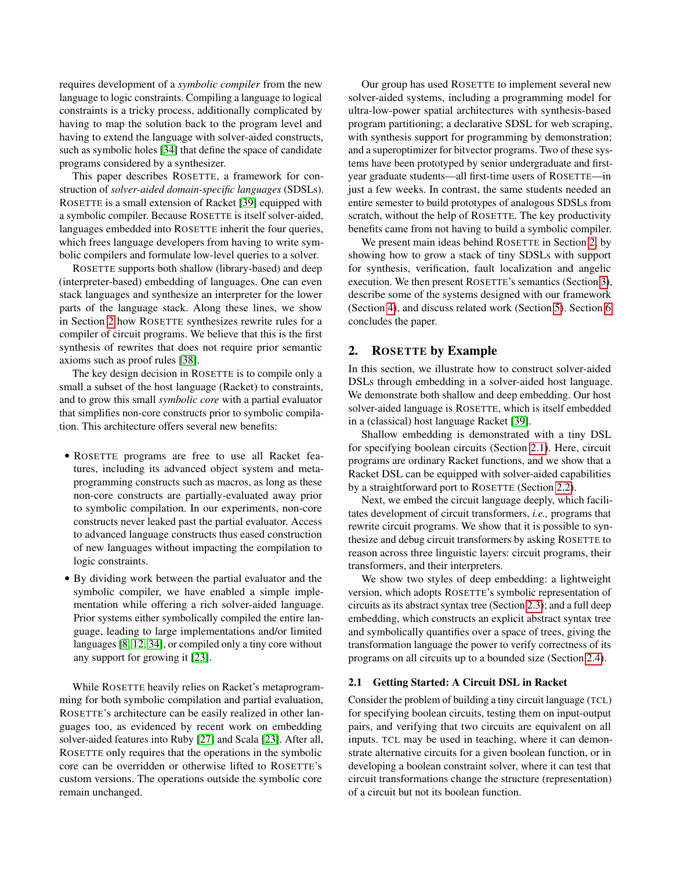requires development of a *symbolic compiler* from the new language to logic constraints. Compiling a language to logical constraints is a tricky process, additionally complicated by having to map the solution back to the program level and having to extend the language with solver-aided constructs, such as symbolic holes [\[34\]](#page-16-0) that define the space of candidate programs considered by a synthesizer.

This paper describes ROSETTE, a framework for construction of *solver-aided domain-specific languages* (SDSLs). ROSETTE is a small extension of Racket [\[39\]](#page-16-6) equipped with a symbolic compiler. Because ROSETTE is itself solver-aided, languages embedded into ROSETTE inherit the four queries, which frees language developers from having to write symbolic compilers and formulate low-level queries to a solver.

ROSETTE supports both shallow (library-based) and deep (interpreter-based) embedding of languages. One can even stack languages and synthesize an interpreter for the lower parts of the language stack. Along these lines, we show in Section [2](#page-1-0) how ROSETTE synthesizes rewrite rules for a compiler of circuit programs. We believe that this is the first synthesis of rewrites that does not require prior semantic axioms such as proof rules [\[38\]](#page-16-7).

The key design decision in ROSETTE is to compile only a small a subset of the host language (Racket) to constraints, and to grow this small *symbolic core* with a partial evaluator that simplifies non-core constructs prior to symbolic compilation. This architecture offers several new benefits:

- ROSETTE programs are free to use all Racket features, including its advanced object system and metaprogramming constructs such as macros, as long as these non-core constructs are partially-evaluated away prior to symbolic compilation. In our experiments, non-core constructs never leaked past the partial evaluator. Access to advanced language constructs thus eased construction of new languages without impacting the compilation to logic constraints.
- By dividing work between the partial evaluator and the symbolic compiler, we have enabled a simple implementation while offering a rich solver-aided language. Prior systems either symbolically compiled the entire language, leading to large implementations and/or limited languages [\[8,](#page-15-1) [12,](#page-15-3) [34\]](#page-16-0), or compiled only a tiny core without any support for growing it [\[23\]](#page-15-0).

While ROSETTE heavily relies on Racket's metaprogramming for both symbolic compilation and partial evaluation, ROSETTE's architecture can be easily realized in other languages too, as evidenced by recent work on embedding solver-aided features into Ruby [\[27\]](#page-15-9) and Scala [\[23\]](#page-15-0). After all, ROSETTE only requires that the operations in the symbolic core can be overridden or otherwise lifted to ROSETTE's custom versions. The operations outside the symbolic core remain unchanged.

Our group has used ROSETTE to implement several new solver-aided systems, including a programming model for ultra-low-power spatial architectures with synthesis-based program partitioning; a declarative SDSL for web scraping, with synthesis support for programming by demonstration; and a superoptimizer for bitvector programs. Two of these systems have been prototyped by senior undergraduate and firstyear graduate students—all first-time users of ROSETTE—in just a few weeks. In contrast, the same students needed an entire semester to build prototypes of analogous SDSLs from scratch, without the help of ROSETTE. The key productivity benefits came from not having to build a symbolic compiler.

We present main ideas behind ROSETTE in Section [2,](#page-1-0) by showing how to grow a stack of tiny SDSLs with support for synthesis, verification, fault localization and angelic execution. We then present ROSETTE's semantics (Section [3\)](#page-8-0), describe some of the systems designed with our framework (Section [4\)](#page-10-0), and discuss related work (Section [5\)](#page-14-0). Section [6](#page-15-10) concludes the paper.

## <span id="page-1-0"></span>2. ROSETTE by Example

In this section, we illustrate how to construct solver-aided DSLs through embedding in a solver-aided host language. We demonstrate both shallow and deep embedding. Our host solver-aided language is ROSETTE, which is itself embedded in a (classical) host language Racket [\[39\]](#page-16-6).

Shallow embedding is demonstrated with a tiny DSL for specifying boolean circuits (Section [2.1\)](#page-1-1). Here, circuit programs are ordinary Racket functions, and we show that a Racket DSL can be equipped with solver-aided capabilities by a straightforward port to ROSETTE (Section [2.2\)](#page-2-0).

Next, we embed the circuit language deeply, which facilitates development of circuit transformers, *i.e.,* programs that rewrite circuit programs. We show that it is possible to synthesize and debug circuit transformers by asking ROSETTE to reason across three linguistic layers: circuit programs, their transformers, and their interpreters.

We show two styles of deep embedding: a lightweight version, which adopts ROSETTE's symbolic representation of circuits as its abstract syntax tree (Section [2.3\)](#page-5-0); and a full deep embedding, which constructs an explicit abstract syntax tree and symbolically quantifies over a space of trees, giving the transformation language the power to verify correctness of its programs on all circuits up to a bounded size (Section [2.4\)](#page-7-0).

### <span id="page-1-1"></span>2.1 Getting Started: A Circuit DSL in Racket

Consider the problem of building a tiny circuit language (TCL) for specifying boolean circuits, testing them on input-output pairs, and verifying that two circuits are equivalent on all inputs. TCL may be used in teaching, where it can demonstrate alternative circuits for a given boolean function, or in developing a boolean constraint solver, where it can test that circuit transformations change the structure (representation) of a circuit but not its boolean function.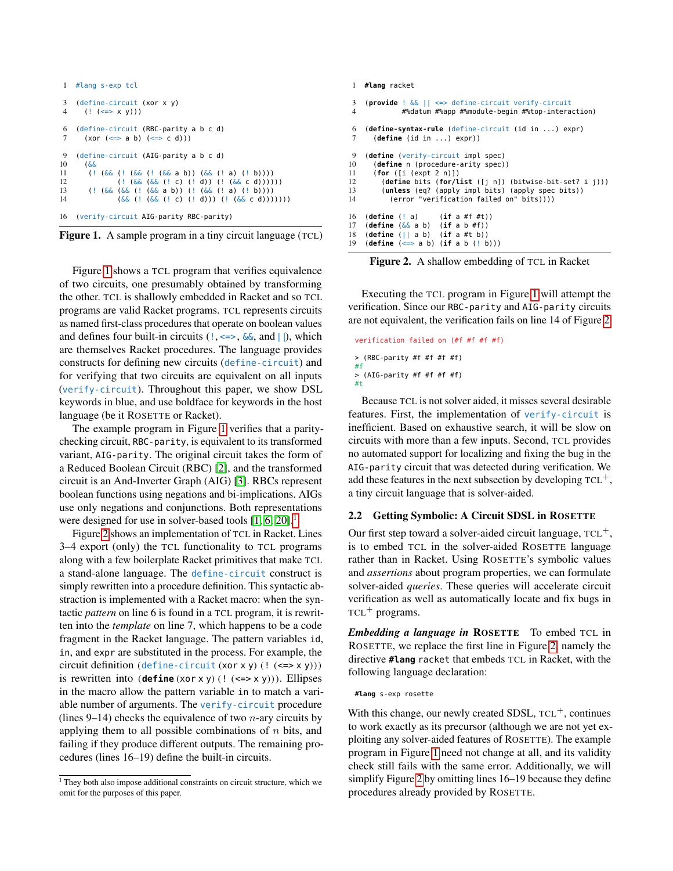```
1 #lang s-exp tcl
3 (define-circuit (xor x y)
4 (! (<=> x y)))
6 (define-circuit (RBC-parity a b c d)
      (xor (<=>a b) (<=c d)))9 (define-circuit (AIG-parity a b c d)
\frac{10}{11} \frac{66}{11}(! (& (! (& (! (& a b)) (& (! a) (! b)))))12 (! (&& (&& (! c) (! d)) (! (&& c d))))))
13 (! (&& (&& (! (&& a b)) (! (&& (! a) (! b))))
14 (&& (! (&& (! c) (! d))) (! (&& c d)))))))
16 (verify-circuit AIG-parity RBC-parity)
```
<span id="page-2-1"></span>

Figure [1](#page-2-1) shows a TCL program that verifies equivalence of two circuits, one presumably obtained by transforming the other. TCL is shallowly embedded in Racket and so TCL programs are valid Racket programs. TCL represents circuits as named first-class procedures that operate on boolean values and defines four built-in circuits  $($ !, <=>,  $\delta \delta$ , and | |), which are themselves Racket procedures. The language provides constructs for defining new circuits (define-circuit) and for verifying that two circuits are equivalent on all inputs (verify-circuit). Throughout this paper, we show DSL keywords in blue, and use boldface for keywords in the host language (be it ROSETTE or Racket).

The example program in Figure [1](#page-2-1) verifies that a paritychecking circuit, RBC-parity, is equivalent to its transformed variant, AIG-parity. The original circuit takes the form of a Reduced Boolean Circuit (RBC) [\[2\]](#page-15-11), and the transformed circuit is an And-Inverter Graph (AIG) [\[3\]](#page-15-12). RBCs represent boolean functions using negations and bi-implications. AIGs use only negations and conjunctions. Both representations were designed for use in solver-based tools  $[1, 6, 20]$  $[1, 6, 20]$  $[1, 6, 20]$ .<sup>[1](#page-2-2)</sup>

Figure [2](#page-2-3) shows an implementation of TCL in Racket. Lines 3–4 export (only) the TCL functionality to TCL programs along with a few boilerplate Racket primitives that make TCL a stand-alone language. The define-circuit construct is simply rewritten into a procedure definition. This syntactic abstraction is implemented with a Racket macro: when the syntactic *pattern* on line 6 is found in a TCL program, it is rewritten into the *template* on line 7, which happens to be a code fragment in the Racket language. The pattern variables id, in, and expr are substituted in the process. For example, the circuit definition (define-circuit (xor x y) (! (<=> x y)) ) is rewritten into  $(\text{define}(x \circ r \times y)$  ( $\div(\iff x \lor y)$ )). Ellipses in the macro allow the pattern variable in to match a variable number of arguments. The verify-circuit procedure (lines 9–14) checks the equivalence of two  $n$ -ary circuits by applying them to all possible combinations of  $n$  bits, and failing if they produce different outputs. The remaining procedures (lines 16–19) define the built-in circuits.

```
1 #lang racket
```

```
3 (provide ! && || <=> define-circuit verify-circuit
4 #%datum #%app #%module-begin #%top-interaction)
6 (define-syntax-rule (define-circuit (id in ...) expr)
      7 (define (id in ...) expr))
9 (define (verify-circuit impl spec)
10 (define n (procedure-arity spec))
      11 (for ([i (expt 2 n)])
12 (define bits (for/list ([j n]) (bitwise-bit-set? i j)))
13 (unless (eq? (apply impl bits) (apply spec bits))
14 (error "verification failed on" bits))))
16 (define (! a) (if a #f #t))
17 (define (&& a b) (if a b #f))
    (define (|| a b)
19 (define (<=> a b) (if a b (! b)))
```
<span id="page-2-3"></span>Figure 2. A shallow embedding of TCL in Racket

Executing the TCL program in Figure [1](#page-2-1) will attempt the verification. Since our RBC-parity and AIG-parity circuits are not equivalent, the verification fails on line 14 of Figure [2:](#page-2-3)

```
verification failed on (#f #f #f #f)
> (RBC-parity #f #f #f #f)
#f
> (AIG-parity #f #f #f #f)
#t
```
Because TCL is not solver aided, it misses several desirable features. First, the implementation of verify-circuit is inefficient. Based on exhaustive search, it will be slow on circuits with more than a few inputs. Second, TCL provides no automated support for localizing and fixing the bug in the AIG-parity circuit that was detected during verification. We add these features in the next subsection by developing  $TCL^+$ , a tiny circuit language that is solver-aided.

#### <span id="page-2-0"></span>2.2 Getting Symbolic: A Circuit SDSL in ROSETTE

Our first step toward a solver-aided circuit language,  $TCL<sup>+</sup>$ , is to embed TCL in the solver-aided ROSETTE language rather than in Racket. Using ROSETTE's symbolic values and *assertions* about program properties, we can formulate solver-aided *queries*. These queries will accelerate circuit verification as well as automatically locate and fix bugs in  $TCL^+$  programs.

*Embedding a language in* ROSETTE To embed TCL in ROSETTE, we replace the first line in Figure [2,](#page-2-3) namely the directive **#lang** racket that embeds TCL in Racket, with the following language declaration:

#### **#lang** s-exp rosette

With this change, our newly created SDSL,  $TCL<sup>+</sup>$ , continues to work exactly as its precursor (although we are not yet exploiting any solver-aided features of ROSETTE). The example program in Figure [1](#page-2-1) need not change at all, and its validity check still fails with the same error. Additionally, we will simplify Figure [2](#page-2-3) by omitting lines 16–19 because they define procedures already provided by ROSETTE.

<span id="page-2-2"></span><sup>&</sup>lt;sup>1</sup> They both also impose additional constraints on circuit structure, which we omit for the purposes of this paper.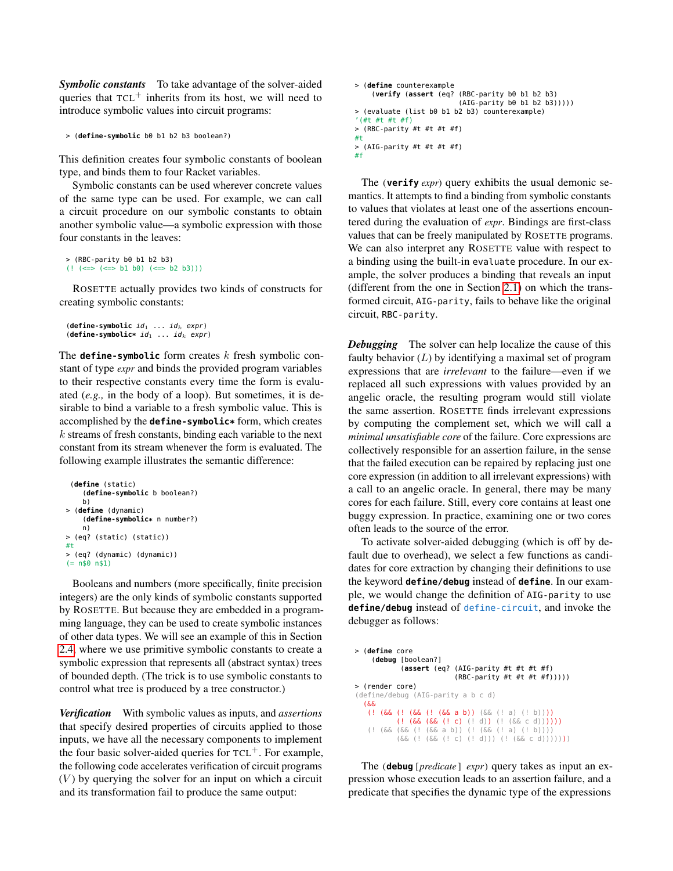*Symbolic constants* To take advantage of the solver-aided queries that  $TCL^+$  inherits from its host, we will need to introduce symbolic values into circuit programs:

> (**define-symbolic** b0 b1 b2 b3 boolean?)

This definition creates four symbolic constants of boolean type, and binds them to four Racket variables.

Symbolic constants can be used wherever concrete values of the same type can be used. For example, we can call a circuit procedure on our symbolic constants to obtain another symbolic value—a symbolic expression with those four constants in the leaves:

```
> (RBC-parity b0 b1 b2 b3)
(! (<=> (<-> b1 b0) (<-> b2 b3)))
```
ROSETTE actually provides two kinds of constructs for creating symbolic constants:

```
(define-symbolic id_1 ... id_k expr)
(\text{define-symbolic}* id_1 ... id_k expr)
```
The **define-symbolic** form creates k fresh symbolic constant of type *expr* and binds the provided program variables to their respective constants every time the form is evaluated (*e.g.,* in the body of a loop). But sometimes, it is desirable to bind a variable to a fresh symbolic value. This is accomplished by the **define-symbolic\*** form, which creates  $k$  streams of fresh constants, binding each variable to the next constant from its stream whenever the form is evaluated. The following example illustrates the semantic difference:

```
(define (static)
    (define-symbolic b boolean?)
    b)
 > (define (dynamic)
    (define-symbolic* n number?)
    n)
> (eq? (static) (static))
#t
> (eq? (dynamic) (dynamic))
(= n$0 n$1)
```
Booleans and numbers (more specifically, finite precision integers) are the only kinds of symbolic constants supported by ROSETTE. But because they are embedded in a programming language, they can be used to create symbolic instances of other data types. We will see an example of this in Section [2.4,](#page-7-0) where we use primitive symbolic constants to create a symbolic expression that represents all (abstract syntax) trees of bounded depth. (The trick is to use symbolic constants to control what tree is produced by a tree constructor.)

*Verification* With symbolic values as inputs, and *assertions* that specify desired properties of circuits applied to those inputs, we have all the necessary components to implement the four basic solver-aided queries for TCL<sup>+</sup>. For example, the following code accelerates verification of circuit programs  $(V)$  by querying the solver for an input on which a circuit and its transformation fail to produce the same output:

```
> (define counterexample
    (verify (assert (eq? (RBC-parity b0 b1 b2 b3)
                         (AIG-parity b0 b1 b2 b3)))))
> (evaluate (list b0 b1 b2 b3) counterexample)
 ( #t #t #t #f)> (RBC-parity #t #t #t #f)
#t
> (AIG-parity #t #t #t #f)
#f
```
The (**verify** *expr*) query exhibits the usual demonic semantics. It attempts to find a binding from symbolic constants to values that violates at least one of the assertions encountered during the evaluation of *expr*. Bindings are first-class values that can be freely manipulated by ROSETTE programs. We can also interpret any ROSETTE value with respect to a binding using the built-in evaluate procedure. In our example, the solver produces a binding that reveals an input (different from the one in Section [2.1\)](#page-1-1) on which the transformed circuit, AIG-parity, fails to behave like the original circuit, RBC-parity.

*Debugging* The solver can help localize the cause of this faulty behavior  $(L)$  by identifying a maximal set of program expressions that are *irrelevant* to the failure—even if we replaced all such expressions with values provided by an angelic oracle, the resulting program would still violate the same assertion. ROSETTE finds irrelevant expressions by computing the complement set, which we will call a *minimal unsatisfiable core* of the failure. Core expressions are collectively responsible for an assertion failure, in the sense that the failed execution can be repaired by replacing just one core expression (in addition to all irrelevant expressions) with a call to an angelic oracle. In general, there may be many cores for each failure. Still, every core contains at least one buggy expression. In practice, examining one or two cores often leads to the source of the error.

To activate solver-aided debugging (which is off by default due to overhead), we select a few functions as candidates for core extraction by changing their definitions to use the keyword **define/debug** instead of **define**. In our example, we would change the definition of AIG-parity to use **define/debug** instead of define-circuit, and invoke the debugger as follows:

```
> (define core
    (debug [boolean?]
            (assert (eq? (AIG-parity #t #t #t #f)
                           (RBC-parity #t #t #t #f)))))
> (render core)
(define/debug (AIG-parity a b c d)
  (&&
   (! (&& (! (&& (! (&& a b)) (&& (! a) (! b))))
   (! (&& (&& (! c) (! d)) (! (&& c d))))))
(! (&& (&& (! (&& a b)) (! (&& (! a) (! b))))
           (&& (! (&& (! c) (! d))) (! (&& c d)))))))
```
The (**debug** [*predicate* ] *expr*) query takes as input an expression whose execution leads to an assertion failure, and a predicate that specifies the dynamic type of the expressions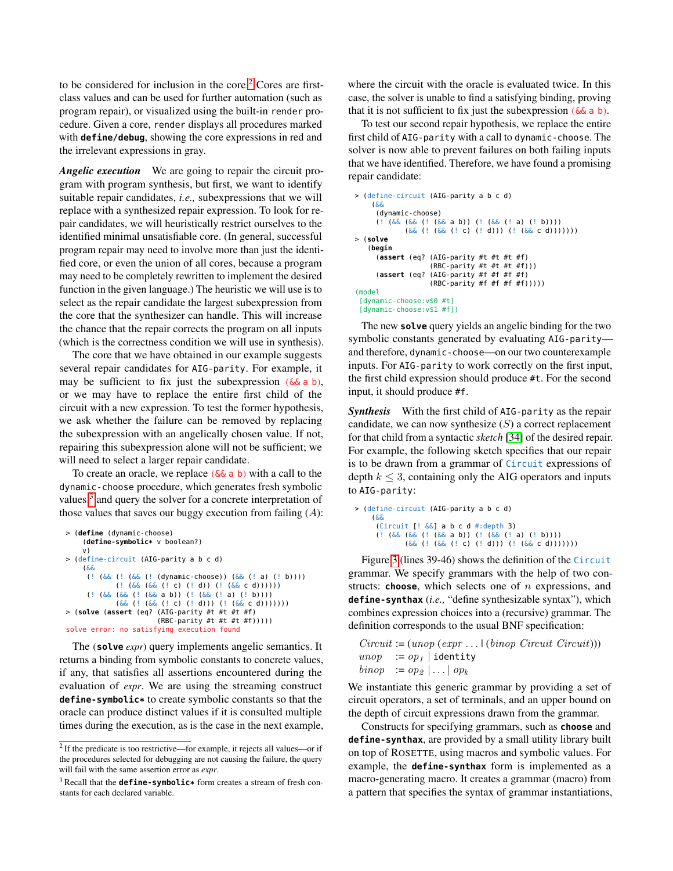to be considered for inclusion in the core.<sup>[2](#page-4-0)</sup> Cores are firstclass values and can be used for further automation (such as program repair), or visualized using the built-in render procedure. Given a core, render displays all procedures marked with **define/debug**, showing the core expressions in red and the irrelevant expressions in gray.

*Angelic execution* We are going to repair the circuit program with program synthesis, but first, we want to identify suitable repair candidates, *i.e.,* subexpressions that we will replace with a synthesized repair expression. To look for repair candidates, we will heuristically restrict ourselves to the identified minimal unsatisfiable core. (In general, successful program repair may need to involve more than just the identified core, or even the union of all cores, because a program may need to be completely rewritten to implement the desired function in the given language.) The heuristic we will use is to select as the repair candidate the largest subexpression from the core that the synthesizer can handle. This will increase the chance that the repair corrects the program on all inputs (which is the correctness condition we will use in synthesis).

The core that we have obtained in our example suggests several repair candidates for AIG-parity. For example, it may be sufficient to fix just the subexpression  $(\delta \delta a b)$ , or we may have to replace the entire first child of the circuit with a new expression. To test the former hypothesis, we ask whether the failure can be removed by replacing the subexpression with an angelically chosen value. If not, repairing this subexpression alone will not be sufficient; we will need to select a larger repair candidate.

To create an oracle, we replace  $(\&\&\ a\ b)$  with a call to the dynamic-choose procedure, which generates fresh symbolic values, $3$  and query the solver for a concrete interpretation of those values that saves our buggy execution from failing  $(A)$ :

```
> (define (dynamic-choose)
    (define-symbolic* v boolean?)
    v)
> (define-circuit (AIG-parity a b c d)
    (&&
     (! (&& (! (&& (! (dynamic-choose)) (&& (! a) (! b))))
             (! (&& (&& (! c) (! d)) (! (&& c d))))))
      (! (&& (&& (! (&& a b)) (! (&& (! a) (! b))))
(&& (! (&& (! c) (! d))) (! (&& c d)))))))
> (solve (assert (eq? (AIG-parity #t #t #t #f)
                         (RBC-parity #t #t #t #f)))))
solve error: no satisfying execution found
```
The (**solve** *expr*) query implements angelic semantics. It returns a binding from symbolic constants to concrete values, if any, that satisfies all assertions encountered during the evaluation of *expr*. We are using the streaming construct **define-symbolic\*** to create symbolic constants so that the oracle can produce distinct values if it is consulted multiple times during the execution, as is the case in the next example, where the circuit with the oracle is evaluated twice. In this case, the solver is unable to find a satisfying binding, proving that it is not sufficient to fix just the subexpression  $(\delta \delta a b)$ .

To test our second repair hypothesis, we replace the entire first child of AIG-parity with a call to dynamic-choose. The solver is now able to prevent failures on both failing inputs that we have identified. Therefore, we have found a promising repair candidate:

```
> (define-circuit (AIG-parity a b c d)
    (&&
     (dynamic-choose)
     (! (&& (&& (! (&& a b)) (! (&& (! a) (! b))))
            (&& (! (&& (! c) (! d))) (! (&& c d)))))))
> (solve
   (begin
     (assert (eq? (AIG-parity #t #t #t #f)
                  (RBC-parity #t #t #t #f)))
     (assert (eq? (AIG-parity #f #f #f #f)
                  (RBC-parity #f #f #f #f)))))
(model
 [dynamic-choose:v$0 #t]
 [dynamic-choose:v$1 #f])
```
The new **solve** query yields an angelic binding for the two symbolic constants generated by evaluating AIG-parity and therefore, dynamic-choose—on our two counterexample inputs. For AIG-parity to work correctly on the first input, the first child expression should produce #t. For the second input, it should produce #f.

*Synthesis* With the first child of AIG-parity as the repair candidate, we can now synthesize  $(S)$  a correct replacement for that child from a syntactic *sketch* [\[34\]](#page-16-0) of the desired repair. For example, the following sketch specifies that our repair is to be drawn from a grammar of Circuit expressions of depth  $k \leq 3$ , containing only the AIG operators and inputs to AIG-parity:

```
> (define-circuit (AIG-parity a b c d)
     (&&
      (Circuit [! \&0] a b c d #:depth 3)
       (! (&& (&& (! (&& a b)) (! (&& (! a) (! b))))
(&& (! (&& (! c) (! d))) (! (&& c d)))))))
```
Figure [3](#page-5-1) (lines 39-46) shows the definition of the Circuit grammar. We specify grammars with the help of two constructs: **choose**, which selects one of n expressions, and **define-synthax** (*i.e.,* "define synthesizable syntax"), which combines expression choices into a (recursive) grammar. The definition corresponds to the usual BNF specification:

```
Circuit := (unop (expr ... | (binop Circuit Circuit)))unop := op_1 | identitybinop := op_2 | \dots | op_k
```
We instantiate this generic grammar by providing a set of circuit operators, a set of terminals, and an upper bound on the depth of circuit expressions drawn from the grammar.

Constructs for specifying grammars, such as **choose** and **define-synthax**, are provided by a small utility library built on top of ROSETTE, using macros and symbolic values. For example, the **define-synthax** form is implemented as a macro-generating macro. It creates a grammar (macro) from a pattern that specifies the syntax of grammar instantiations,

<span id="page-4-0"></span><sup>&</sup>lt;sup>2</sup> If the predicate is too restrictive—for example, it rejects all values—or if the procedures selected for debugging are not causing the failure, the query will fail with the same assertion error as *expr*.

<span id="page-4-1"></span><sup>3</sup> Recall that the **define-symbolic\*** form creates a stream of fresh constants for each declared variable.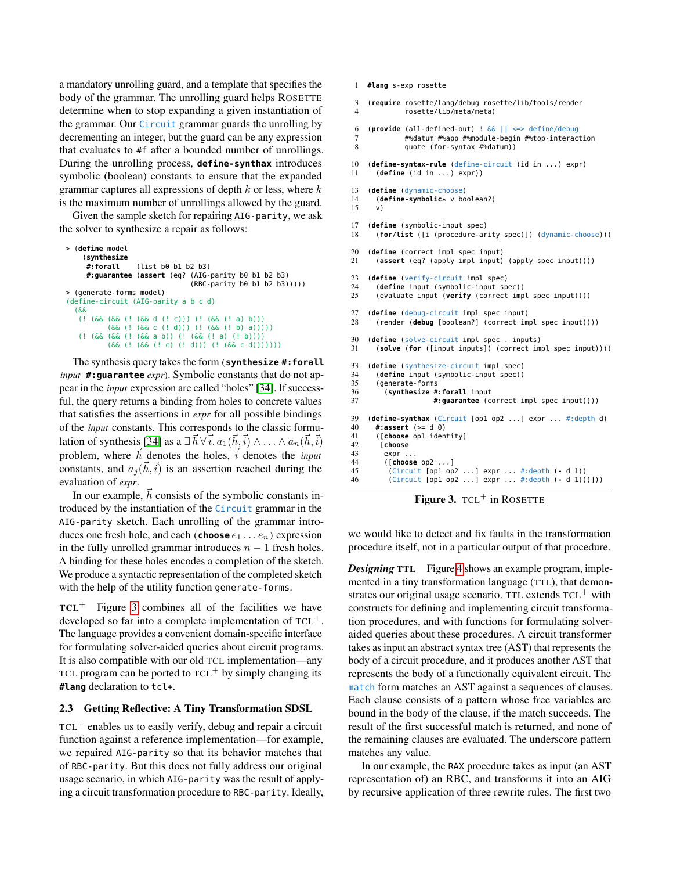a mandatory unrolling guard, and a template that specifies the body of the grammar. The unrolling guard helps ROSETTE determine when to stop expanding a given instantiation of the grammar. Our Circuit grammar guards the unrolling by decrementing an integer, but the guard can be any expression that evaluates to #f after a bounded number of unrollings. During the unrolling process, **define-synthax** introduces symbolic (boolean) constants to ensure that the expanded grammar captures all expressions of depth  $k$  or less, where  $k$ is the maximum number of unrollings allowed by the guard.

Given the sample sketch for repairing AIG-parity, we ask the solver to synthesize a repair as follows:

```
> (define model
    (synthesize
                  #:forall (list b0 b1 b2 b3)
    #:guarantee (assert (eq? (AIG-parity b0 b1 b2 b3)
                               (RBC-parity b0 b1 b2 b3)))))
> (generate-forms model)
(define-circuit (AIG-parity a b c d)
  (&&
   (! (&& (&& (! (&& d (! c))) (! (&& (! a) b)))
          (&& (! (&& c (! d))) (! (&& (! b) a)))))
   (! (&& (&& (! (&& a b)) (! (&& (! a) (! b))))
          (&& (! (&& (! c) (! d))) (! (&& c d)))))))
```
The synthesis query takes the form (**synthesize #:forall** *input* **#:guarantee** *expr*). Symbolic constants that do not appear in the *input* expression are called "holes" [\[34\]](#page-16-0). If successful, the query returns a binding from holes to concrete values that satisfies the assertions in *expr* for all possible bindings of the *input* constants. This corresponds to the classic formu-lation of synthesis [\[34\]](#page-16-0) as a  $\exists \vec{h} \forall \vec{i}. a_1(\vec{h}, \vec{i}) \wedge \ldots \wedge a_n(\vec{h}, \vec{i})$ problem, where  $\vec{h}$  denotes the holes,  $\vec{i}$  denotes the *input* constants, and  $a_j(\vec{h}, \vec{i})$  is an assertion reached during the evaluation of *expr*.

In our example,  $h$  consists of the symbolic constants introduced by the instantiation of the Circuit grammar in the AIG-parity sketch. Each unrolling of the grammar introduces one fresh hole, and each (**choose**  $e_1 \ldots e_n$ ) expression in the fully unrolled grammar introduces  $n - 1$  fresh holes. A binding for these holes encodes a completion of the sketch. We produce a syntactic representation of the completed sketch with the help of the utility function generate-forms.

 $TCL<sup>+</sup>$  Figure [3](#page-5-1) combines all of the facilities we have developed so far into a complete implementation of  $TCL<sup>+</sup>$ . The language provides a convenient domain-specific interface for formulating solver-aided queries about circuit programs. It is also compatible with our old TCL implementation—any TCL program can be ported to  $TCL<sup>+</sup>$  by simply changing its **#lang** declaration to tcl+.

#### <span id="page-5-0"></span>2.3 Getting Reflective: A Tiny Transformation SDSL

 $TCL<sup>+</sup>$  enables us to easily verify, debug and repair a circuit function against a reference implementation—for example, we repaired AIG-parity so that its behavior matches that of RBC-parity. But this does not fully address our original usage scenario, in which AIG-parity was the result of applying a circuit transformation procedure to RBC-parity. Ideally,

- 1 **#lang** s-exp rosette
- 3 (**require** rosette/lang/debug rosette/lib/tools/render 4 rosette/lib/meta/meta)
- 6 (**provide** (all-defined-out) ! && || <=> define/debug 7 #%datum #%app #%module-begin #%top-interaction 8 quote (for-syntax #%datum))
- 10 (**define-syntax-rule** (define-circuit (id in ...) expr) 11 (**define** (id in ...) expr))
- 
- 13 (**define** (dynamic-choose)
- 14 (**define-symbolic\*** v boolean?)  $v<sub>1</sub>$
- 
- 17 (**define** (symbolic-input spec) 18 (**for/list** ([i (procedure-arity spec)]) (dynamic-choose)))
- 20 (**define** (correct impl spec input) (assert (eq? (apply impl input) (apply spec input))))
- 
- 23 (**define** (verify-circuit impl spec)
- 24 (**define** input (symbolic-input spec))<br>25 (evaluate input (verify (correct imp 25 (evaluate input (**verify** (correct impl spec input))))
- 
- 27 (**define** (debug-circuit impl spec input)<br>28 (render (**debug** [boolean?] (correct im 28 (render (**debug** [boolean?] (correct impl spec input))))
- 30 (**define** (solve-circuit impl spec . inputs)
- 31 (**solve** (**for** ([input inputs]) (correct impl spec input))))
- 33 (**define** (synthesize-circuit impl spec)
- 34 (**define** input (symbolic-input spec))
- (generate-forms
- 36 (**synthesize #:forall** input #:guarantee<sup>(correct impl spec input))))</sup>
- 39 (**define-synthax** (Circuit [op1 op2 ...] expr ... #:depth d) 40 **#:assert** (>= d 0) 41 ([**choose** op1 identity] 42 [**choose** expr ..
- 
- 44 ([**choose** op2 ...] 45 (Circuit [op1 op2 ...] expr ... #:depth (**-** d 1))
- 46 (Circuit [op1 op2 ...] expr ... #:depth (**-** d 1)))]))

<span id="page-5-1"></span>Figure 3.  $TCL$ <sup>+</sup> in ROSETTE

we would like to detect and fix faults in the transformation procedure itself, not in a particular output of that procedure.

*Designing* TTL Figure [4](#page-6-0) shows an example program, implemented in a tiny transformation language (TTL), that demonstrates our original usage scenario. TTL extends  $TCL<sup>+</sup>$  with constructs for defining and implementing circuit transformation procedures, and with functions for formulating solveraided queries about these procedures. A circuit transformer takes as input an abstract syntax tree (AST) that represents the body of a circuit procedure, and it produces another AST that represents the body of a functionally equivalent circuit. The match form matches an AST against a sequences of clauses. Each clause consists of a pattern whose free variables are bound in the body of the clause, if the match succeeds. The result of the first successful match is returned, and none of the remaining clauses are evaluated. The underscore pattern matches any value.

In our example, the RAX procedure takes as input (an AST representation of) an RBC, and transforms it into an AIG by recursive application of three rewrite rules. The first two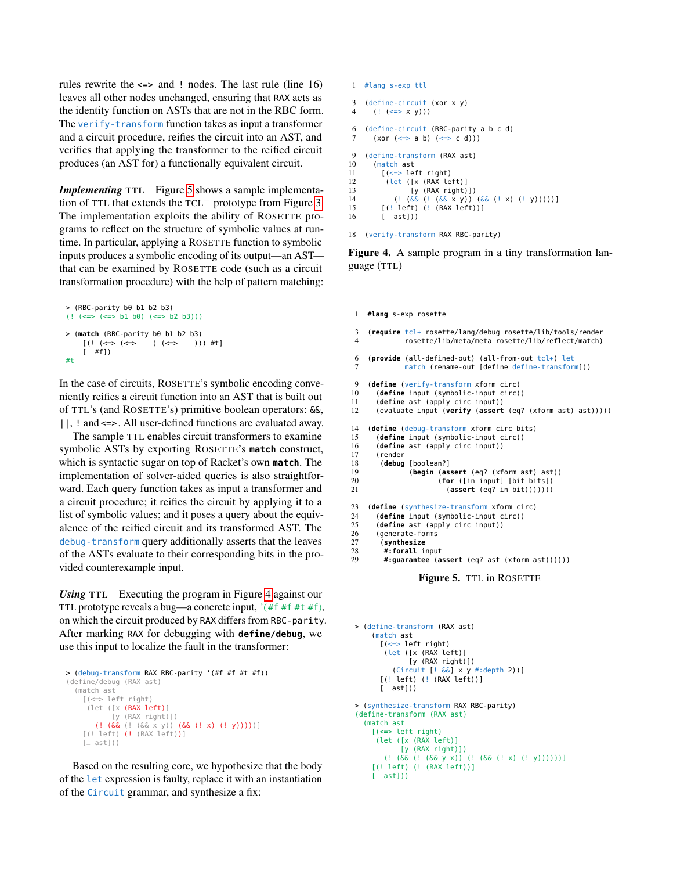rules rewrite the <=> and ! nodes. The last rule (line 16) leaves all other nodes unchanged, ensuring that RAX acts as the identity function on ASTs that are not in the RBC form. The verify-transform function takes as input a transformer and a circuit procedure, reifies the circuit into an AST, and verifies that applying the transformer to the reified circuit produces (an AST for) a functionally equivalent circuit.

*Implementing* TTL Figure [5](#page-6-1) shows a sample implementation of TTL that extends the  $TCL^+$  prototype from Figure [3.](#page-5-1) The implementation exploits the ability of ROSETTE programs to reflect on the structure of symbolic values at runtime. In particular, applying a ROSETTE function to symbolic inputs produces a symbolic encoding of its output—an AST that can be examined by ROSETTE code (such as a circuit transformation procedure) with the help of pattern matching:

```
> (RBC-parity b0 b1 b2 b3)
(! (<= (<= b1 b0) (= > b2 b3)))> (match (RBC-parity b0 b1 b2 b3)
      [(\cdot | \langle \iff (\iff \_ \_ \_ \_ \rangle \langle \iff \rangle \langle \iff \_ \_ \_ \rangle)] #t]
      [- #f]#t
```
In the case of circuits, ROSETTE's symbolic encoding conveniently reifies a circuit function into an AST that is built out of TTL's (and ROSETTE's) primitive boolean operators: &&, ||, ! and <=>. All user-defined functions are evaluated away.

The sample TTL enables circuit transformers to examine symbolic ASTs by exporting ROSETTE's **match** construct, which is syntactic sugar on top of Racket's own **match**. The implementation of solver-aided queries is also straightforward. Each query function takes as input a transformer and a circuit procedure; it reifies the circuit by applying it to a list of symbolic values; and it poses a query about the equivalence of the reified circuit and its transformed AST. The debug-transform query additionally asserts that the leaves of the ASTs evaluate to their corresponding bits in the provided counterexample input.

*Using* TTL Executing the program in Figure [4](#page-6-0) against our TTL prototype reveals a bug—a concrete input, '(#f #f #t #f), on which the circuit produced by RAX differs from RBC-parity. After marking RAX for debugging with **define/debug**, we use this input to localize the fault in the transformer:

```
> (debug-transform RAX RBC-parity '(#f #f #t #f))
(define/debug (RAX ast)
  (match ast
    [(<=> left right)
     (let ([x (RAX left)]
           [y (RAX right)])
       (! (&& (! (&& x y)) (&& (! x) (! y)))))]
    [(! left) (! (RAX left))]
    [-ast])
```
Based on the resulting core, we hypothesize that the body of the let expression is faulty, replace it with an instantiation of the Circuit grammar, and synthesize a fix:

```
1 #lang s-exp ttl
 3 (define-circuit (xor x y)
 4 (! (<=> x y)))
 6 (define-circuit (RBC-parity a b c d)
      (xor (= > a b) (= > c d))9 (define-transform (RAX ast)
10 (match ast<br>11 [(\leq 2) lex
        [(\leq > left right)
12 (let ([x (RAX left)]
13 [y (RAX right)])
14 (! (&& (! (&& x y)) (&& (! x) (! y)))))]
15 [(! left) (! (RAX left))]
16 [_ ast]))
18 (verify-transform RAX RBC-parity)
```
<span id="page-6-0"></span>Figure 4. A sample program in a tiny transformation language (TTL)

```
1 #lang s-exp rosette
 3 (require tcl+ rosette/lang/debug rosette/lib/tools/render
 4 rosette/lib/meta/meta rosette/lib/reflect/match)
 6 (provide (all-defined-out) (all-from-out tcl+) let
             match (rename-out [define define-transform]))
9 (define (verify-transform xform circ)
10 (define input (symbolic-input circ))
11 (define ast (apply circ input))
12 (evaluate input (verify (assert (eq? (xform ast) ast)))))
14 (define (debug-transform xform circ bits)
15 (define input (symbolic-input circ))
      16 (define ast (apply circ input))
17 (render<br>18 (debug
18 (debug [boolean?]
              19 (begin (assert (eq? (xform ast) ast))
20 (for ([in input] [bit bits])
                       21 (assert (eq? in bit)))))))
23 (define (synthesize-transform xform circ)<br>24 (define input (symbolic-input circ))
24 (define input (symbolic-input circ))
25 (define ast (apply circ input))
26 (generate-forms<br>27 (synthesize
27 (synthesize
28 #:forall input
        29 #:guarantee (assert (eq? ast (xform ast))))))
```
<span id="page-6-1"></span>Figure 5. TTL in ROSETTE

```
> (define-transform (RAX ast)
    (match ast
      [(<=> left right)
       (let ([x (RAX left)]
              [y (RAX right)])
         (Circuit [! &&] x y #:depth 2))]
      [(! left) (! (RAX left))]
      [- ast1))
> (synthesize-transform RAX RBC-parity)
(define-transform (RAX ast)
  (match ast
    [(\leq z \leq \text{left right})(let ([x (RAX left)]
        [y (RAX right)])
(! (&& (! (&& y x)) (! (&& (! x) (! y))))))]
    [(! left) (! (RAX left))]
    [-ast])
```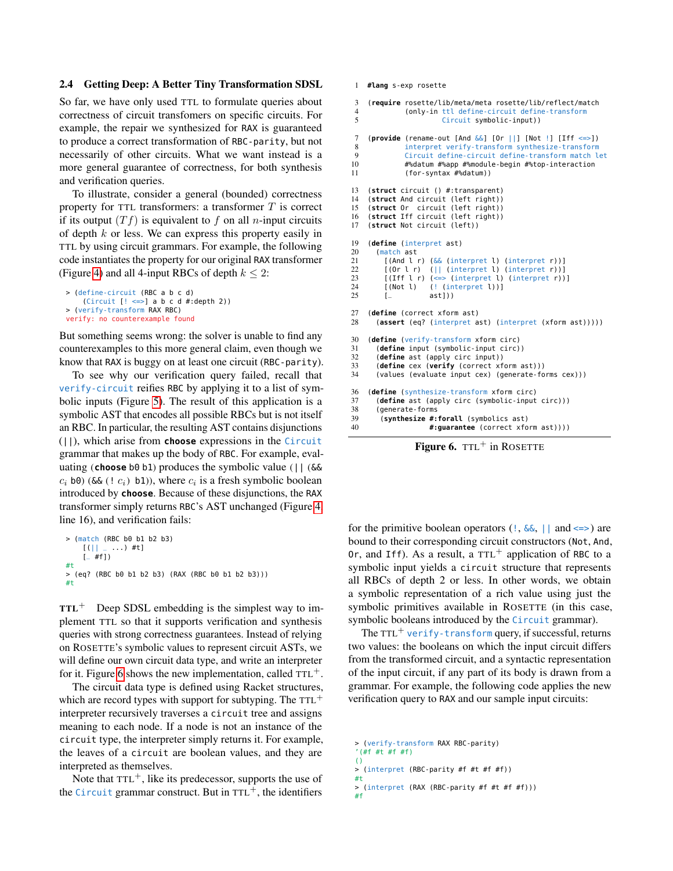### <span id="page-7-0"></span>2.4 Getting Deep: A Better Tiny Transformation SDSL

So far, we have only used TTL to formulate queries about correctness of circuit transfomers on specific circuits. For example, the repair we synthesized for RAX is guaranteed to produce a correct transformation of RBC-parity, but not necessarily of other circuits. What we want instead is a more general guarantee of correctness, for both synthesis and verification queries.

To illustrate, consider a general (bounded) correctness property for TTL transformers: a transformer  $T$  is correct if its output  $(Tf)$  is equivalent to f on all *n*-input circuits of depth  $k$  or less. We can express this property easily in TTL by using circuit grammars. For example, the following code instantiates the property for our original RAX transformer (Figure [4\)](#page-6-0) and all 4-input RBCs of depth  $k \leq 2$ :

```
> (define-circuit (RBC a b c d)
    (Circuit [! \leq >] a b c d #:depth 2))
> (verify-transform RAX RBC)
verify: no counterexample found
```
But something seems wrong: the solver is unable to find any counterexamples to this more general claim, even though we know that RAX is buggy on at least one circuit (RBC-parity).

To see why our verification query failed, recall that verify-circuit reifies RBC by applying it to a list of symbolic inputs (Figure [5\)](#page-6-1). The result of this application is a symbolic AST that encodes all possible RBCs but is not itself an RBC. In particular, the resulting AST contains disjunctions (||), which arise from **choose** expressions in the Circuit grammar that makes up the body of RBC. For example, evaluating (**choose** b0 b1) produces the symbolic value (|| (&&  $c_i$  b $\theta$ ) (&& (!  $c_i$ ) b1)), where  $c_i$  is a fresh symbolic boolean introduced by **choose**. Because of these disjunctions, the RAX transformer simply returns RBC's AST unchanged (Figure [4,](#page-6-0) line 16), and verification fails:

```
> (match (RBC b0 b1 b2 b3)
    [ ( || \_ \_ \ldots ) #t]
    [-  #f])#t
> (eq? (RBC b0 b1 b2 b3) (RAX (RBC b0 b1 b2 b3)))
#t
```
 $TTL^{+}$  Deep SDSL embedding is the simplest way to implement TTL so that it supports verification and synthesis queries with strong correctness guarantees. Instead of relying on ROSETTE's symbolic values to represent circuit ASTs, we will define our own circuit data type, and write an interpreter for it. Figure [6](#page-7-1) shows the new implementation, called  $TTL^+$ .

The circuit data type is defined using Racket structures, which are record types with support for subtyping. The  $TTL^+$ interpreter recursively traverses a circuit tree and assigns meaning to each node. If a node is not an instance of the circuit type, the interpreter simply returns it. For example, the leaves of a circuit are boolean values, and they are interpreted as themselves.

Note that  $TTL^+$ , like its predecessor, supports the use of the Circuit grammar construct. But in  $TTL^+$ , the identifiers 1 **#lang** s-exp rosette

```
3 (require rosette/lib/meta/meta rosette/lib/reflect/match
 4 (only-in ttl define-circuit define-transform
                         Circuit symbolic-input))
 7 (provide (rename-out [And &&] [Or ||] [Not !] [Iff <=>])
 8 interpret verify-transform synthesize-transform
               Circuit define-circuit define-transform match let
10 #%datum #%app #%module-begin #%top-interaction<br>11 (for-syntax #%datum))
               (for-syntax #%datum))
13 (struct circuit () #:transparent)
14 (struct And circuit (left right))
     (struct Or circuit (left right))
16 (struct Iff circuit (left right))
17 (struct Not circuit (left))
19 (define (interpret ast)
20 (match ast<br>21 [(And l
21 [(And l r) (&& (interpret l) (interpret r))]<br>22 [(Or l r) (|| (interpret l) (interpret r))]
22 [(0r \mid r) \mid (i) \text{interpret } 1) \text{ (interpret } r)]<br>
23 [(1ff \mid r) \text{ (s=s (interpret } 1) \text{ (interpret } r)]23 [(If f l r) (<\Leftarrow>(\therefore i) (interpret l) (interpret r))]<br>
24 [(Not l) (interpret l) ]24 [(Not l) (! (interpret l))]<br>25 [_ ast]))
         [- \quad ast])27 (define (correct xform ast)
       28 (assert (eq? (interpret ast) (interpret (xform ast)))))
30 (define (verify-transform xform circ)
31 (define input (symbolic-input circ))
32 (define ast (apply circ input))
33 (define cex (verify (correct xform ast)))
       (values (evaluate input cex) (generate-forms cex)))
36 (define (synthesize-transform xform circ)
37 (define ast (apply circ (symbolic-input circ)))
38 (generate-forms)<br>39 (synthesize #:
39 (synthesize #:forall (symbolics ast)
                      #:guarantee<sup>(correct xform ast))))</sup>
```
<span id="page-7-1"></span>Figure 6.  $TTL^+$  in ROSETTE

for the primitive boolean operators  $(1, \delta\delta, | \cdot |)$  and  $\leq$  are bound to their corresponding circuit constructors (Not, And, Or, and Iff). As a result, a  $TTL^+$  application of RBC to a symbolic input yields a circuit structure that represents all RBCs of depth 2 or less. In other words, we obtain a symbolic representation of a rich value using just the symbolic primitives available in ROSETTE (in this case, symbolic booleans introduced by the Circuit grammar).

The  $TTL^+$  verify-transform query, if successful, returns two values: the booleans on which the input circuit differs from the transformed circuit, and a syntactic representation of the input circuit, if any part of its body is drawn from a grammar. For example, the following code applies the new verification query to RAX and our sample input circuits:

```
> (verify-transform RAX RBC-parity)
```

```
'(#f #t #f #f)
()
```

```
> (interpret (RBC-parity #f #t #f #f))
#t
```

```
> (interpret (RAX (RBC-parity #f #t #f #f)))
#f
```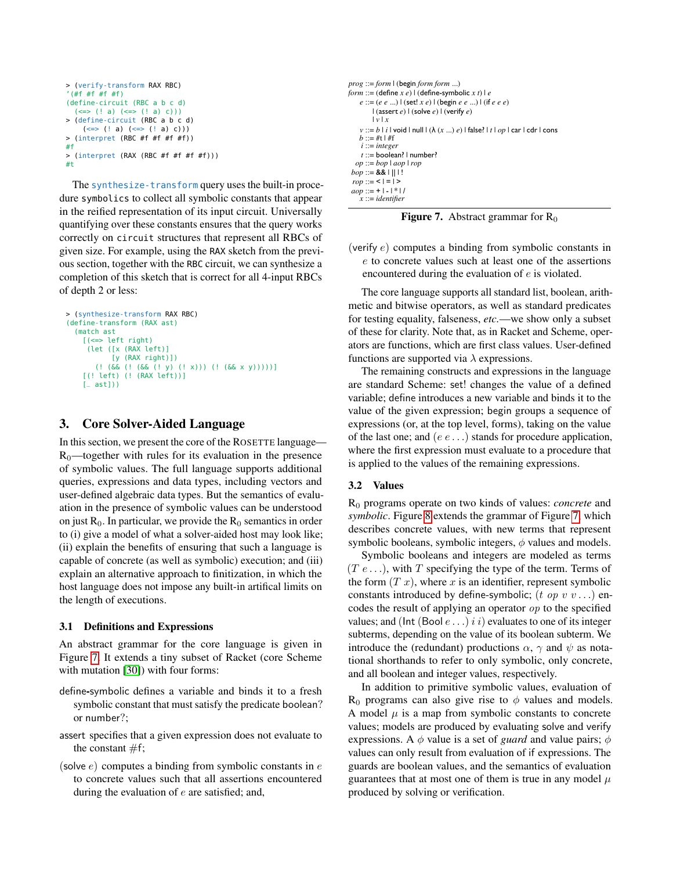```
> (verify-transform RAX RBC)
 '(#f #f #f #f)(define-circuit (RBC a b c d)
(<=> (! a) (<=> (! a) c)))
> (define-circuit (RBC a b c d)
(<=> (! a) (<=> (! a) c)))
> (interpret (RBC #f #f #f #f))
#f
> (interpret (RAX (RBC #f #f #f #f)))
#t
```
The synthesize-transform query uses the built-in procedure symbolics to collect all symbolic constants that appear in the reified representation of its input circuit. Universally quantifying over these constants ensures that the query works correctly on circuit structures that represent all RBCs of given size. For example, using the RAX sketch from the previous section, together with the RBC circuit, we can synthesize a completion of this sketch that is correct for all 4-input RBCs of depth 2 or less:

```
> (synthesize-transform RAX RBC)
(define-transform (RAX ast)
  (match ast
    [(<=> left right)
     (let ([x (RAX left)]
            [y (RAX right)])
    (! (&& (! (&& (! y) (! x))) (! (&& x y)))))]
[(! left) (! (RAX left))]
    [-ast])
```
## <span id="page-8-0"></span>3. Core Solver-Aided Language

In this section, we present the core of the ROSETTE language—  $R_0$ —together with rules for its evaluation in the presence of symbolic values. The full language supports additional queries, expressions and data types, including vectors and user-defined algebraic data types. But the semantics of evaluation in the presence of symbolic values can be understood on just  $R_0$ . In particular, we provide the  $R_0$  semantics in order to (i) give a model of what a solver-aided host may look like; (ii) explain the benefits of ensuring that such a language is capable of concrete (as well as symbolic) execution; and (iii) explain an alternative approach to finitization, in which the host language does not impose any built-in artifical limits on the length of executions.

## 3.1 Definitions and Expressions

An abstract grammar for the core language is given in Figure [7.](#page-8-1) It extends a tiny subset of Racket (core Scheme with mutation [\[30\]](#page-16-8)) with four forms:

- define-symbolic defines a variable and binds it to a fresh symbolic constant that must satisfy the predicate boolean? or number?;
- assert specifies that a given expression does not evaluate to the constant  $#f$ ;
- (solve  $e$ ) computes a binding from symbolic constants in  $e$ to concrete values such that all assertions encountered during the evaluation of e are satisfied; and,

```
prog ::= form | (begin form form ...)
form ::= (define x e) | (define-symbolic x t) | ee ::= (e \ e \ ...) | (set! \ x \ e) | (begin \ e \ e \ ...) | (if \ e \ e \ e)\vert (assert e) \vert (solve e) \vert (verify e)
          |v|xv ::= b \mid i \mid \text{void} \mid \text{null} \mid (\lambda (x ...) e) \mid \text{false?} \mid t \mid op \mid \text{car} \mid \text{cdr} \mid \text{cons}b ::= #t | #fi ::= integert ::= boolean? | number?
   op ::= bop | aop | ropbop ::= 88 \cup |||!
  rop ::= < |= | >
 aop ::= + |-| * | /<br>x ::= identifier:= identifier
```
<span id="page-8-1"></span>**Figure 7.** Abstract grammar for  $R_0$ 

(verify e) computes a binding from symbolic constants in e to concrete values such at least one of the assertions encountered during the evaluation of e is violated.

The core language supports all standard list, boolean, arithmetic and bitwise operators, as well as standard predicates for testing equality, falseness, *etc.*—we show only a subset of these for clarity. Note that, as in Racket and Scheme, operators are functions, which are first class values. User-defined functions are supported via  $\lambda$  expressions.

The remaining constructs and expressions in the language are standard Scheme: set! changes the value of a defined variable; define introduces a new variable and binds it to the value of the given expression; begin groups a sequence of expressions (or, at the top level, forms), taking on the value of the last one; and  $(e e \dots)$  stands for procedure application, where the first expression must evaluate to a procedure that is applied to the values of the remaining expressions.

#### 3.2 Values

R<sup>0</sup> programs operate on two kinds of values: *concrete* and *symbolic*. Figure [8](#page-9-0) extends the grammar of Figure [7,](#page-8-1) which describes concrete values, with new terms that represent symbolic booleans, symbolic integers,  $\phi$  values and models.

Symbolic booleans and integers are modeled as terms  $(T e...)$ , with T specifying the type of the term. Terms of the form  $(T x)$ , where x is an identifier, represent symbolic constants introduced by define-symbolic;  $(t \text{ op } v \text{ v } ...)$  encodes the result of applying an operator op to the specified values; and (Int (Bool  $e \dots$ ) i i) evaluates to one of its integer subterms, depending on the value of its boolean subterm. We introduce the (redundant) productions  $\alpha$ ,  $\gamma$  and  $\psi$  as notational shorthands to refer to only symbolic, only concrete, and all boolean and integer values, respectively.

In addition to primitive symbolic values, evaluation of  $R_0$  programs can also give rise to  $\phi$  values and models. A model  $\mu$  is a map from symbolic constants to concrete values; models are produced by evaluating solve and verify expressions. A  $\phi$  value is a set of *guard* and value pairs;  $\phi$ values can only result from evaluation of if expressions. The guards are boolean values, and the semantics of evaluation guarantees that at most one of them is true in any model  $\mu$ produced by solving or verification.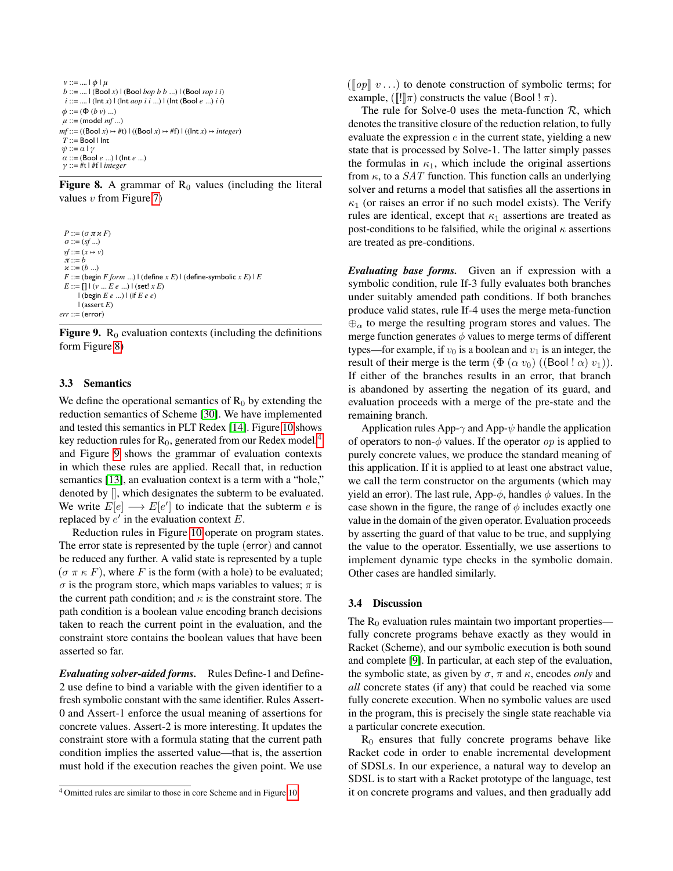```
v ::= ... | \phi | \mub ::= ... \mid (Bool x) \mid (Bool \; loop \; b \; b ... ) \mid (Bool \;rop \; i)i ::= ... | (\text{Int } x) | (\text{Int } aop \ i \ ...) | (\text{Int } (\text{Bool } e ...) i \ i)\phi ::= (\Phi(b \nu) ...)\mu ::= (model mf ...)
mf ::= ((Bool x) \mapsto \#t) \mid ((Bool x) \mapsto \#f) \mid ((Int x) \mapsto integer)\hat{T} ::= Bool I Int
 \psi ::= \alpha \mid \gamma\alpha ::= (\text{Bool } e \ldots) \mid (\text{Int } e \ldots)\gamma ::= #t \mid #f \mid integer
```
<span id="page-9-0"></span>**Figure 8.** A grammar of  $R_0$  values (including the literal values  $v$  from Figure [7\)](#page-8-1)

```
P ::= (\sigma \pi \times F)\sigma ::= (sf...)sf ::= (x \mapsto v)\pi ::= b\varkappa ::= (b \ldots)F ::= (begin F \text{ form } ...) | (define x E) | (define-symbolic x E) | EE ::= \prod (v ... E e ...) | (set! x E)
       \vert (begin E e ...) \vert (if E e e)
       \mathsf{I} (assert E)
err ::= (error)
```
<span id="page-9-2"></span>**Figure 9.** R<sub>0</sub> evaluation contexts (including the definitions form Figure [8\)](#page-9-0)

#### 3.3 Semantics

We define the operational semantics of  $R_0$  by extending the reduction semantics of Scheme [\[30\]](#page-16-8). We have implemented and tested this semantics in PLT Redex [\[14\]](#page-15-16). Figure [10](#page-10-1) shows key reduction rules for  $R_0$ , generated from our Redex model,<sup>[4](#page-9-1)</sup> and Figure [9](#page-9-2) shows the grammar of evaluation contexts in which these rules are applied. Recall that, in reduction semantics [\[13\]](#page-15-17), an evaluation context is a term with a "hole," denoted by [], which designates the subterm to be evaluated. We write  $E[e] \longrightarrow E[e']$  to indicate that the subterm e is replaced by  $e'$  in the evaluation context  $E$ .

Reduction rules in Figure [10](#page-10-1) operate on program states. The error state is represented by the tuple (error) and cannot be reduced any further. A valid state is represented by a tuple  $(\sigma \pi \kappa F)$ , where F is the form (with a hole) to be evaluated;  $\sigma$  is the program store, which maps variables to values;  $\pi$  is the current path condition; and  $\kappa$  is the constraint store. The path condition is a boolean value encoding branch decisions taken to reach the current point in the evaluation, and the constraint store contains the boolean values that have been asserted so far.

*Evaluating solver-aided forms.* Rules Define-1 and Define-2 use define to bind a variable with the given identifier to a fresh symbolic constant with the same identifier. Rules Assert-0 and Assert-1 enforce the usual meaning of assertions for concrete values. Assert-2 is more interesting. It updates the constraint store with a formula stating that the current path condition implies the asserted value—that is, the assertion must hold if the execution reaches the given point. We use

( $[op]$   $v \dots$ ) to denote construction of symbolic terms; for example, ( $\left[\right]\left[\right]\pi$ ) constructs the value (Bool !  $\pi$ ).

The rule for Solve-0 uses the meta-function  $\mathcal{R}$ , which denotes the transitive closure of the reduction relation, to fully evaluate the expression  $e$  in the current state, yielding a new state that is processed by Solve-1. The latter simply passes the formulas in  $\kappa_1$ , which include the original assertions from  $\kappa$ , to a *SAT* function. This function calls an underlying solver and returns a model that satisfies all the assertions in  $\kappa_1$  (or raises an error if no such model exists). The Verify rules are identical, except that  $\kappa_1$  assertions are treated as post-conditions to be falsified, while the original  $\kappa$  assertions are treated as pre-conditions.

*Evaluating base forms.* Given an if expression with a symbolic condition, rule If-3 fully evaluates both branches under suitably amended path conditions. If both branches produce valid states, rule If-4 uses the merge meta-function  $\oplus_{\alpha}$  to merge the resulting program stores and values. The merge function generates  $\phi$  values to merge terms of different types—for example, if  $v_0$  is a boolean and  $v_1$  is an integer, the result of their merge is the term  $(\Phi(\alpha v_0)$  ((Bool! $\alpha$ )  $v_1$ )). If either of the branches results in an error, that branch is abandoned by asserting the negation of its guard, and evaluation proceeds with a merge of the pre-state and the remaining branch.

Application rules App- $\gamma$  and App- $\psi$  handle the application of operators to non- $\phi$  values. If the operator  $op$  is applied to purely concrete values, we produce the standard meaning of this application. If it is applied to at least one abstract value, we call the term constructor on the arguments (which may yield an error). The last rule, App- $\phi$ , handles  $\phi$  values. In the case shown in the figure, the range of  $\phi$  includes exactly one value in the domain of the given operator. Evaluation proceeds by asserting the guard of that value to be true, and supplying the value to the operator. Essentially, we use assertions to implement dynamic type checks in the symbolic domain. Other cases are handled similarly.

#### 3.4 Discussion

The  $R_0$  evaluation rules maintain two important properties fully concrete programs behave exactly as they would in Racket (Scheme), and our symbolic execution is both sound and complete [\[9\]](#page-15-18). In particular, at each step of the evaluation, the symbolic state, as given by  $\sigma$ ,  $\pi$  and  $\kappa$ , encodes *only* and *all* concrete states (if any) that could be reached via some fully concrete execution. When no symbolic values are used in the program, this is precisely the single state reachable via a particular concrete execution.

 $R_0$  ensures that fully concrete programs behave like Racket code in order to enable incremental development of SDSLs. In our experience, a natural way to develop an SDSL is to start with a Racket prototype of the language, test it on concrete programs and values, and then gradually add

<span id="page-9-1"></span><sup>4</sup> Omitted rules are similar to those in core Scheme and in Figure [10.](#page-10-1)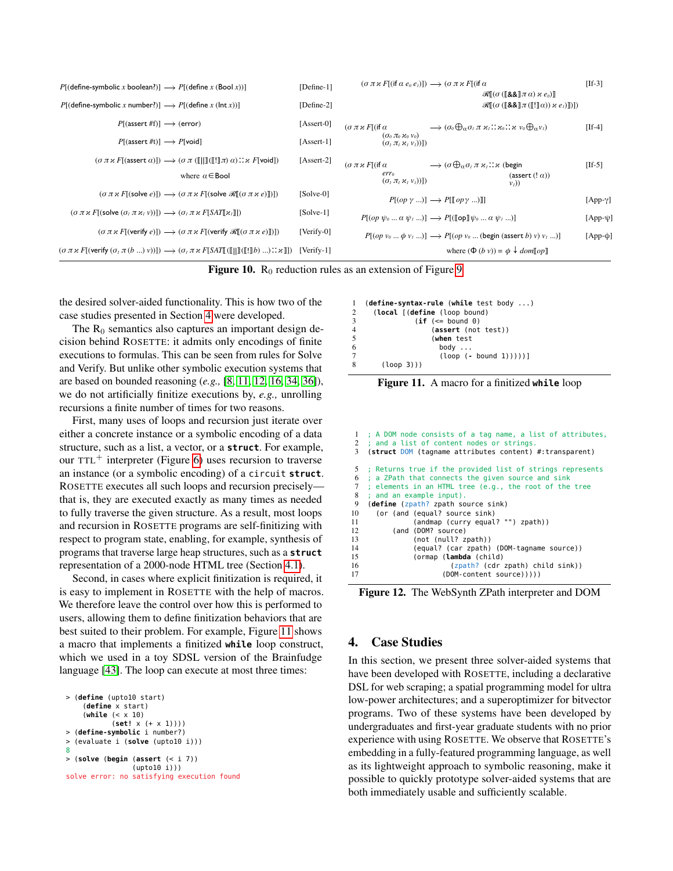| $P[(\text{define-symbolic } x \text{ boolean}]) \rightarrow P[(\text{define } x \text{ (Bool } x)]$                                                                                           | [Define-1]         | $(\sigma \pi \varkappa F[(\text{if } \alpha e_0 e_1)]) \rightarrow (\sigma \pi \varkappa F](\text{if } \alpha$<br>$\mathcal{R}[(\sigma([88]\pi\alpha)\times e_0)]$                                                                    | $[If-3]$       |
|-----------------------------------------------------------------------------------------------------------------------------------------------------------------------------------------------|--------------------|---------------------------------------------------------------------------------------------------------------------------------------------------------------------------------------------------------------------------------------|----------------|
| $P[(\text{define-symbolic } x \text{ number}]) \rightarrow P[(\text{define } x (\text{Int } x))]$                                                                                             | [Define-2]         | $\mathcal{R}[(\sigma([88]\pi([!!a))\times e_i)])]$                                                                                                                                                                                    |                |
| $P[(assert #f)] \rightarrow (error)$                                                                                                                                                          | [Assert-0]         | $\rightarrow$ $(\sigma_0 \bigoplus_{\alpha} \sigma_1 \pi x_1 \cdots x_0 \cdots x_n \bigoplus_{\alpha} v_1)$<br>$(\sigma \pi \varkappa F$ (if $\alpha$                                                                                 | $[If-4]$       |
| $P[(\text{assert } \#t)] \longrightarrow P[\text{void}]$                                                                                                                                      | [Assert-1]         | $(\sigma_0 \pi_0 \varkappa_0 \nu_0)$<br>$(\sigma_i \pi_i \chi_i \nu_i))$                                                                                                                                                              |                |
| $(\sigma \pi \times F(\text{assert } \alpha))) \rightarrow (\sigma \pi ([\text{[[} \text{[[} \text{[[} \text{[[} \pi) \alpha)] \text{ :: } \kappa F[\text{void}])$<br>where $\alpha \in$ Bool | $[{\rm Assert-2}]$ | $\rightarrow$ ( $\sigma \bigoplus_{\alpha} \sigma_i \pi \varkappa_i$ : : $\varkappa$ (begin<br>( $\sigma \pi \times F$ (if $\alpha$ )<br>err <sub>o</sub><br>(assert $(! \alpha)$ )<br>$(\sigma_i \pi_i \chi_i \nu_i))]$<br>$\nu_l$ ) | $[If-5]$       |
| $(\sigma \pi \times F[$ (solve e)]) $\rightarrow$ $(\sigma \pi \times F[$ (solve $\mathcal{R}[(\sigma \pi \times e)]$ )])                                                                     | [Solve-0]          | $P[(op \gamma ) \rightarrow P[[op \gamma ]]]$                                                                                                                                                                                         | $[App-\gamma]$ |
| $(\sigma \pi \times F[$ (solve $(\sigma_i \pi \times_i v))]$ ) $\longrightarrow$ $(\sigma_i \pi \times F[SAT] \times_i ]$ ])                                                                  | [Solve-1]          | $P[(\text{op } \psi_0 \dots \alpha \psi_l \dots)] \longrightarrow P[(\llbracket \text{op }] \psi_0 \dots \alpha \psi_l \dots)]$                                                                                                       | $[App-\psi]$   |
| $(\sigma \pi \times F[(\mathsf{verify}\ e)]) \longrightarrow (\sigma \pi \times F[(\mathsf{verify}\ \mathscr{R}[(\sigma \pi \times e)])])$                                                    | [Verify-0]         | $P[(\text{op } v_0  \phi v_1 ) \rightarrow P[(\text{op } v_0  (\text{begin (assert } b) v) v_1 )$                                                                                                                                     | $[App-\phi]$   |
| $(\sigma \pi \times F[(\text{verify } (\sigma_i \pi (b \dots) \text{ v}))]) \rightarrow (\sigma_i \pi \times F[SAT[[[[]]][[]]]b) \dots) :: \times \mathbb{I}])$ [Verify-1]                    |                    | where $(\Phi(b \nu)) = \phi \nightharpoonup \text{dom}[\![op]\!]$                                                                                                                                                                     |                |

<span id="page-10-1"></span>**Figure 10.**  $R_0$  reduction rules as an extension of Figure [9](#page-9-2)

the desired solver-aided functionality. This is how two of the case studies presented in Section [4](#page-10-0) were developed.

The  $R_0$  semantics also captures an important design decision behind ROSETTE: it admits only encodings of finite executions to formulas. This can be seen from rules for Solve and Verify. But unlike other symbolic execution systems that are based on bounded reasoning (*e.g.,* [\[8,](#page-15-1) [11,](#page-15-19) [12,](#page-15-3) [16,](#page-15-20) [34,](#page-16-0) [36\]](#page-16-9)), we do not artificially finitize executions by, *e.g.,* unrolling recursions a finite number of times for two reasons.

First, many uses of loops and recursion just iterate over either a concrete instance or a symbolic encoding of a data structure, such as a list, a vector, or a **struct**. For example, our  $TTL^+$  interpreter (Figure [6\)](#page-7-1) uses recursion to traverse an instance (or a symbolic encoding) of a circuit **struct**. ROSETTE executes all such loops and recursion precisely that is, they are executed exactly as many times as needed to fully traverse the given structure. As a result, most loops and recursion in ROSETTE programs are self-finitizing with respect to program state, enabling, for example, synthesis of programs that traverse large heap structures, such as a **struct** representation of a 2000-node HTML tree (Section [4.1\)](#page-11-0).

Second, in cases where explicit finitization is required, it is easy to implement in ROSETTE with the help of macros. We therefore leave the control over how this is performed to users, allowing them to define finitization behaviors that are best suited to their problem. For example, Figure [11](#page-10-2) shows a macro that implements a finitized **while** loop construct, which we used in a toy SDSL version of the Brainfudge language [\[43\]](#page-16-10). The loop can execute at most three times:

```
> (define (upto10 start)
    (define x start)
    (while (< x 10)
(set! x (+ x 1))))
> (define-symbolic i number?)
> (evaluate i (solve (upto10 i)))
8
> (solve (begin (assert (< i 7))
                  (upto10 i)))
solve error: no satisfying execution found
```

```
1 (define-syntax-rule (while test body ...)
2 (local [(define (loop bound)
           (if (<i>=</i> bound 0)4 (assert (not test))
               5 (when test
6 body ...
7 (loop (- bound 1)))))]
8 (loop 3)))
```
<span id="page-10-2"></span>

```
1 ; A DOM node consists of a tag name, a list of attributes,
2 ; and a list of content nodes or strings.<br>3 (struct DOM (tagname attributes content)
    (struct DOM (tagname attributes content) #:transparent)
 5 ; Returns true if the provided list of strings represents
 6 ; a ZPath that connects the given source and sink
 7 ; elements in an HTML tree (e.g., the root of the tree 8 : and an example input).
8 ; and an example input).<br>9 (define (zpath? zpath so
9 (define (zpath? zpath source sink)<br>10 (or (and (equal? source sink)
       (or (and (equal? source sink)
11 (andmap (curry equal? "") zpath))<br>12 (and (DOM? source)
12 (and (DOM? source)<br>13 (not (null? z
13 (not (null? zpath))<br>14 (equal? (car zpath)
14 (equal? (car zpath) (DOM-tagname source))<br>15 (orman (lambda (child)
                   15 (ormap (lambda (child)
16 (zpath? (cdr zpath) child sink))<br>17 (DOM-content source)))))
                            17 (DOM-content source)))))
```
<span id="page-10-3"></span>Figure 12. The WebSynth ZPath interpreter and DOM

## <span id="page-10-0"></span>4. Case Studies

In this section, we present three solver-aided systems that have been developed with ROSETTE, including a declarative DSL for web scraping; a spatial programming model for ultra low-power architectures; and a superoptimizer for bitvector programs. Two of these systems have been developed by undergraduates and first-year graduate students with no prior experience with using ROSETTE. We observe that ROSETTE's embedding in a fully-featured programming language, as well as its lightweight approach to symbolic reasoning, make it possible to quickly prototype solver-aided systems that are both immediately usable and sufficiently scalable.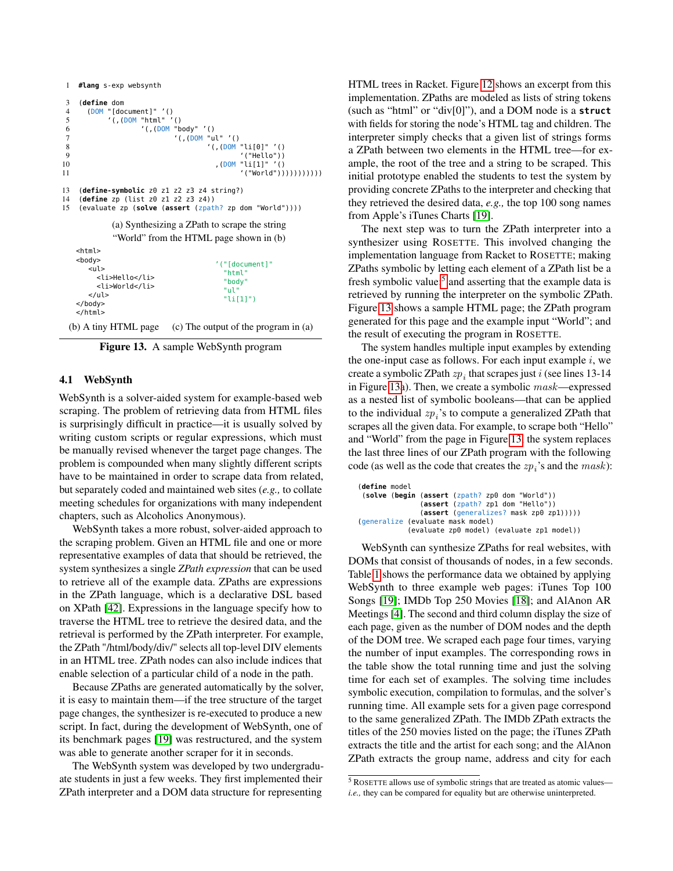```
1 #lang s-exp websynth
3 (define dom
 4 (DOM "[document]" '()<br>5 '(,(DOM "html" '()
6 ' (, (DOM "body" '()<br>7 ' (fold "u)
                            ( , (DOM "ul" '()
8 ( , ( DOM ' 'li[0]'' '() ( PHello '') )9 '("Hello"))
10 , (DM "l[i]" '() )<br>11 , (VM "l[i] " () )11 '("World")))))))))))
13 (define-symbolic z0 z1 z2 z3 z4 string?)
14 (define zp (list z0 z1 z2 z3 z4))
    15 (evaluate zp (solve (assert (zpath? zp dom "World"))))
            (a) Synthesizing a ZPath to scrape the string
            "World" from the HTML page shown in (b)
   <html>
   <body>
      <ul>
        <li>Hello</li>
        <li>World</li>
      </ul>
   </body>
   </html>
                                      '("[document]"
                                         "html"
                                        "body"
                                         "ul"
                                        "li[1]")
 (b) A tiny HTML page (c) The output of the program in (a)
```
<span id="page-11-2"></span>

#### <span id="page-11-0"></span>4.1 WebSynth

WebSynth is a solver-aided system for example-based web scraping. The problem of retrieving data from HTML files is surprisingly difficult in practice—it is usually solved by writing custom scripts or regular expressions, which must be manually revised whenever the target page changes. The problem is compounded when many slightly different scripts have to be maintained in order to scrape data from related, but separately coded and maintained web sites (*e.g.,* to collate meeting schedules for organizations with many independent chapters, such as Alcoholics Anonymous).

WebSynth takes a more robust, solver-aided approach to the scraping problem. Given an HTML file and one or more representative examples of data that should be retrieved, the system synthesizes a single *ZPath expression* that can be used to retrieve all of the example data. ZPaths are expressions in the ZPath language, which is a declarative DSL based on XPath [\[42\]](#page-16-11). Expressions in the language specify how to traverse the HTML tree to retrieve the desired data, and the retrieval is performed by the ZPath interpreter. For example, the ZPath "/html/body/div/" selects all top-level DIV elements in an HTML tree. ZPath nodes can also include indices that enable selection of a particular child of a node in the path.

Because ZPaths are generated automatically by the solver, it is easy to maintain them—if the tree structure of the target page changes, the synthesizer is re-executed to produce a new script. In fact, during the development of WebSynth, one of its benchmark pages [\[19\]](#page-15-21) was restructured, and the system was able to generate another scraper for it in seconds.

The WebSynth system was developed by two undergraduate students in just a few weeks. They first implemented their ZPath interpreter and a DOM data structure for representing

HTML trees in Racket. Figure [12](#page-10-3) shows an excerpt from this implementation. ZPaths are modeled as lists of string tokens (such as "html" or "div[0]"), and a DOM node is a **struct** with fields for storing the node's HTML tag and children. The interpreter simply checks that a given list of strings forms a ZPath between two elements in the HTML tree—for example, the root of the tree and a string to be scraped. This initial prototype enabled the students to test the system by providing concrete ZPaths to the interpreter and checking that they retrieved the desired data, *e.g.,* the top 100 song names from Apple's iTunes Charts [\[19\]](#page-15-21).

The next step was to turn the ZPath interpreter into a synthesizer using ROSETTE. This involved changing the implementation language from Racket to ROSETTE; making ZPaths symbolic by letting each element of a ZPath list be a fresh symbolic value;<sup>[5](#page-11-1)</sup> and asserting that the example data is retrieved by running the interpreter on the symbolic ZPath. Figure [13](#page-11-2) shows a sample HTML page; the ZPath program generated for this page and the example input "World"; and the result of executing the program in ROSETTE.

The system handles multiple input examples by extending the one-input case as follows. For each input example  $i$ , we create a symbolic ZPath  $zp<sub>i</sub>$  that scrapes just i (see lines 13-14) in Figure [13a](#page-11-2)). Then, we create a symbolic mask—expressed as a nested list of symbolic booleans—that can be applied to the individual  $zp_i$ 's to compute a generalized ZPath that scrapes all the given data. For example, to scrape both "Hello" and "World" from the page in Figure [13,](#page-11-2) the system replaces the last three lines of our ZPath program with the following code (as well as the code that creates the  $zp<sub>i</sub>$ 's and the  $mask$ ):

```
(define model
(solve (begin (assert (zpath? zp0 dom "World"))
               (assert (zpath? zp1 dom "Hello"))
               (assert (generalizes? mask zp0 zp1)))))
(generalize (evaluate mask model)
            (evaluate zp0 model) (evaluate zp1 model))
```
WebSynth can synthesize ZPaths for real websites, with DOMs that consist of thousands of nodes, in a few seconds. Table [1](#page-12-0) shows the performance data we obtained by applying WebSynth to three example web pages: iTunes Top 100 Songs [\[19\]](#page-15-21); IMDb Top 250 Movies [\[18\]](#page-15-22); and AlAnon AR Meetings [\[4\]](#page-15-23). The second and third column display the size of each page, given as the number of DOM nodes and the depth of the DOM tree. We scraped each page four times, varying the number of input examples. The corresponding rows in the table show the total running time and just the solving time for each set of examples. The solving time includes symbolic execution, compilation to formulas, and the solver's running time. All example sets for a given page correspond to the same generalized ZPath. The IMDb ZPath extracts the titles of the 250 movies listed on the page; the iTunes ZPath extracts the title and the artist for each song; and the AlAnon ZPath extracts the group name, address and city for each

<span id="page-11-1"></span><sup>5</sup> ROSETTE allows use of symbolic strings that are treated as atomic values *i.e.,* they can be compared for equality but are otherwise uninterpreted.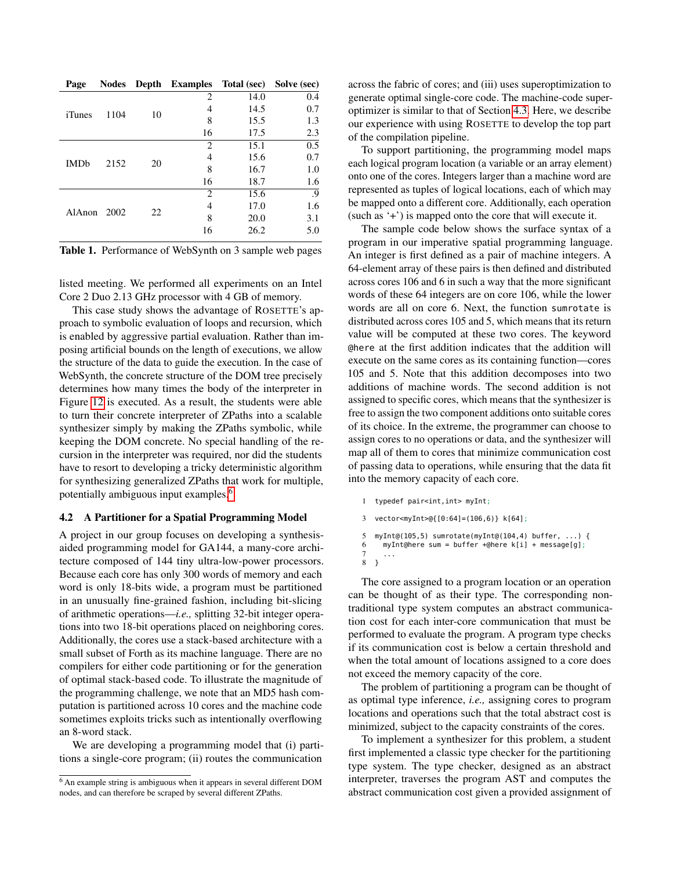| Page        | <b>Nodes</b> |    |                | Depth Examples Total (sec) | Solve (sec) |
|-------------|--------------|----|----------------|----------------------------|-------------|
| iTunes      | 1104         | 10 | 2              | 14.0                       | 0.4         |
|             |              |    | 4              | 14.5                       | 0.7         |
|             |              |    | 8              | 15.5                       | 1.3         |
|             |              |    | 16             | 17.5                       | 2.3         |
| <b>IMDb</b> | 2152         | 20 | $\overline{c}$ | 15.1                       | 0.5         |
|             |              |    | 4              | 15.6                       | 0.7         |
|             |              |    | 8              | 16.7                       | 1.0         |
|             |              |    | 16             | 18.7                       | 1.6         |
| AlAnon      | 2002         | 22 | $\overline{c}$ | 15.6                       | .9          |
|             |              |    | 4              | 17.0                       | 1.6         |
|             |              |    | 8              | 20.0                       | 3.1         |
|             |              |    | 16             | 26.2                       | 5.0         |

<span id="page-12-0"></span>Table 1. Performance of WebSynth on 3 sample web pages

listed meeting. We performed all experiments on an Intel Core 2 Duo 2.13 GHz processor with 4 GB of memory.

This case study shows the advantage of ROSETTE's approach to symbolic evaluation of loops and recursion, which is enabled by aggressive partial evaluation. Rather than imposing artificial bounds on the length of executions, we allow the structure of the data to guide the execution. In the case of WebSynth, the concrete structure of the DOM tree precisely determines how many times the body of the interpreter in Figure [12](#page-10-3) is executed. As a result, the students were able to turn their concrete interpreter of ZPaths into a scalable synthesizer simply by making the ZPaths symbolic, while keeping the DOM concrete. No special handling of the recursion in the interpreter was required, nor did the students have to resort to developing a tricky deterministic algorithm for synthesizing generalized ZPaths that work for multiple, potentially ambiguous input examples.[6](#page-12-1)

## 4.2 A Partitioner for a Spatial Programming Model

A project in our group focuses on developing a synthesisaided programming model for GA144, a many-core architecture composed of 144 tiny ultra-low-power processors. Because each core has only 300 words of memory and each word is only 18-bits wide, a program must be partitioned in an unusually fine-grained fashion, including bit-slicing of arithmetic operations—*i.e.,* splitting 32-bit integer operations into two 18-bit operations placed on neighboring cores. Additionally, the cores use a stack-based architecture with a small subset of Forth as its machine language. There are no compilers for either code partitioning or for the generation of optimal stack-based code. To illustrate the magnitude of the programming challenge, we note that an MD5 hash computation is partitioned across 10 cores and the machine code sometimes exploits tricks such as intentionally overflowing an 8-word stack.

We are developing a programming model that (i) partitions a single-core program; (ii) routes the communication

across the fabric of cores; and (iii) uses superoptimization to generate optimal single-core code. The machine-code superoptimizer is similar to that of Section [4.3.](#page-13-0) Here, we describe our experience with using ROSETTE to develop the top part of the compilation pipeline.

To support partitioning, the programming model maps each logical program location (a variable or an array element) onto one of the cores. Integers larger than a machine word are represented as tuples of logical locations, each of which may be mapped onto a different core. Additionally, each operation (such as '+') is mapped onto the core that will execute it.

The sample code below shows the surface syntax of a program in our imperative spatial programming language. An integer is first defined as a pair of machine integers. A 64-element array of these pairs is then defined and distributed across cores 106 and 6 in such a way that the more significant words of these 64 integers are on core 106, while the lower words are all on core 6. Next, the function sumrotate is distributed across cores 105 and 5, which means that its return value will be computed at these two cores. The keyword @here at the first addition indicates that the addition will execute on the same cores as its containing function—cores 105 and 5. Note that this addition decomposes into two additions of machine words. The second addition is not assigned to specific cores, which means that the synthesizer is free to assign the two component additions onto suitable cores of its choice. In the extreme, the programmer can choose to assign cores to no operations or data, and the synthesizer will map all of them to cores that minimize communication cost of passing data to operations, while ensuring that the data fit into the memory capacity of each core.

- 1 typedef pair<int,int> myInt;
- 3 vector<myInt>@{[0:64]=(106,6)} k[64];

```
5 myInt@(105,5) sumrotate(myInt@(104,4) buffer, ...) {
6 myInt@here sum = buffer +@here k[i] + message[g];
7 ...
8 }
```
The core assigned to a program location or an operation can be thought of as their type. The corresponding nontraditional type system computes an abstract communication cost for each inter-core communication that must be performed to evaluate the program. A program type checks if its communication cost is below a certain threshold and when the total amount of locations assigned to a core does not exceed the memory capacity of the core.

The problem of partitioning a program can be thought of as optimal type inference, *i.e.,* assigning cores to program locations and operations such that the total abstract cost is minimized, subject to the capacity constraints of the cores.

To implement a synthesizer for this problem, a student first implemented a classic type checker for the partitioning type system. The type checker, designed as an abstract interpreter, traverses the program AST and computes the abstract communication cost given a provided assignment of

<span id="page-12-1"></span> $6$ An example string is ambiguous when it appears in several different DOM nodes, and can therefore be scraped by several different ZPaths.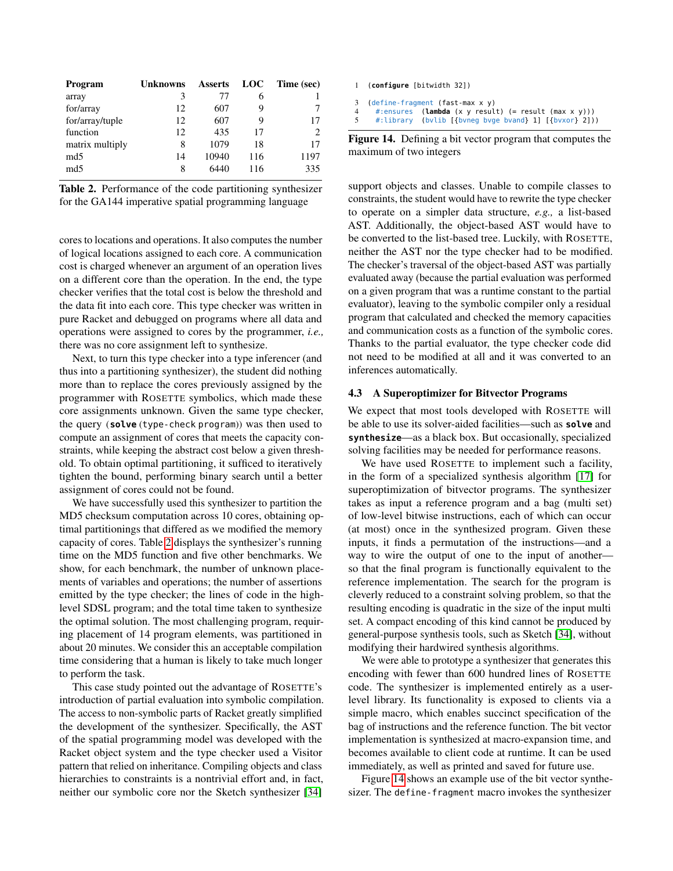| Program         | <b>Unknowns</b> | <b>Asserts</b> | <b>LOC</b> | Time (sec)     |
|-----------------|-----------------|----------------|------------|----------------|
| array           | 3               | 77             | 6          |                |
| for/array       | 12              | 607            | 9          |                |
| for/array/tuple | 12              | 607            | 9          | 17             |
| function        | 12              | 435            | 17         | $\overline{c}$ |
| matrix multiply | 8               | 1079           | 18         | 17             |
| md <sub>5</sub> | 14              | 10940          | 116        | 1197           |
| md <sub>5</sub> | 8               | 6440           | 116        | 335            |

<span id="page-13-1"></span>Table 2. Performance of the code partitioning synthesizer for the GA144 imperative spatial programming language

cores to locations and operations. It also computes the number of logical locations assigned to each core. A communication cost is charged whenever an argument of an operation lives on a different core than the operation. In the end, the type checker verifies that the total cost is below the threshold and the data fit into each core. This type checker was written in pure Racket and debugged on programs where all data and operations were assigned to cores by the programmer, *i.e.,* there was no core assignment left to synthesize.

Next, to turn this type checker into a type inferencer (and thus into a partitioning synthesizer), the student did nothing more than to replace the cores previously assigned by the programmer with ROSETTE symbolics, which made these core assignments unknown. Given the same type checker, the query (**solve** (type-check program)) was then used to compute an assignment of cores that meets the capacity constraints, while keeping the abstract cost below a given threshold. To obtain optimal partitioning, it sufficed to iteratively tighten the bound, performing binary search until a better assignment of cores could not be found.

We have successfully used this synthesizer to partition the MD5 checksum computation across 10 cores, obtaining optimal partitionings that differed as we modified the memory capacity of cores. Table [2](#page-13-1) displays the synthesizer's running time on the MD5 function and five other benchmarks. We show, for each benchmark, the number of unknown placements of variables and operations; the number of assertions emitted by the type checker; the lines of code in the highlevel SDSL program; and the total time taken to synthesize the optimal solution. The most challenging program, requiring placement of 14 program elements, was partitioned in about 20 minutes. We consider this an acceptable compilation time considering that a human is likely to take much longer to perform the task.

This case study pointed out the advantage of ROSETTE's introduction of partial evaluation into symbolic compilation. The access to non-symbolic parts of Racket greatly simplified the development of the synthesizer. Specifically, the AST of the spatial programming model was developed with the Racket object system and the type checker used a Visitor pattern that relied on inheritance. Compiling objects and class hierarchies to constraints is a nontrivial effort and, in fact, neither our symbolic core nor the Sketch synthesizer [\[34\]](#page-16-0)

|        | 1 (configure [bitwidth 32]) |                                                                                                                                                    |
|--------|-----------------------------|----------------------------------------------------------------------------------------------------------------------------------------------------|
| 4<br>5 |                             | 3 (define-fragment (fast-max x y)<br>#:ensures (lambda (x y result) (= result (max x y)))<br>#:library (bylib [{byneq byqe byand} 1] [{byxor} 2])) |

<span id="page-13-2"></span>Figure 14. Defining a bit vector program that computes the maximum of two integers

support objects and classes. Unable to compile classes to constraints, the student would have to rewrite the type checker to operate on a simpler data structure, *e.g.,* a list-based AST. Additionally, the object-based AST would have to be converted to the list-based tree. Luckily, with ROSETTE, neither the AST nor the type checker had to be modified. The checker's traversal of the object-based AST was partially evaluated away (because the partial evaluation was performed on a given program that was a runtime constant to the partial evaluator), leaving to the symbolic compiler only a residual program that calculated and checked the memory capacities and communication costs as a function of the symbolic cores. Thanks to the partial evaluator, the type checker code did not need to be modified at all and it was converted to an inferences automatically.

#### <span id="page-13-0"></span>4.3 A Superoptimizer for Bitvector Programs

We expect that most tools developed with ROSETTE will be able to use its solver-aided facilities—such as **solve** and **synthesize**—as a black box. But occasionally, specialized solving facilities may be needed for performance reasons.

We have used ROSETTE to implement such a facility, in the form of a specialized synthesis algorithm [\[17\]](#page-15-24) for superoptimization of bitvector programs. The synthesizer takes as input a reference program and a bag (multi set) of low-level bitwise instructions, each of which can occur (at most) once in the synthesized program. Given these inputs, it finds a permutation of the instructions—and a way to wire the output of one to the input of another so that the final program is functionally equivalent to the reference implementation. The search for the program is cleverly reduced to a constraint solving problem, so that the resulting encoding is quadratic in the size of the input multi set. A compact encoding of this kind cannot be produced by general-purpose synthesis tools, such as Sketch [\[34\]](#page-16-0), without modifying their hardwired synthesis algorithms.

We were able to prototype a synthesizer that generates this encoding with fewer than 600 hundred lines of ROSETTE code. The synthesizer is implemented entirely as a userlevel library. Its functionality is exposed to clients via a simple macro, which enables succinct specification of the bag of instructions and the reference function. The bit vector implementation is synthesized at macro-expansion time, and becomes available to client code at runtime. It can be used immediately, as well as printed and saved for future use.

Figure [14](#page-13-2) shows an example use of the bit vector synthesizer. The define-fragment macro invokes the synthesizer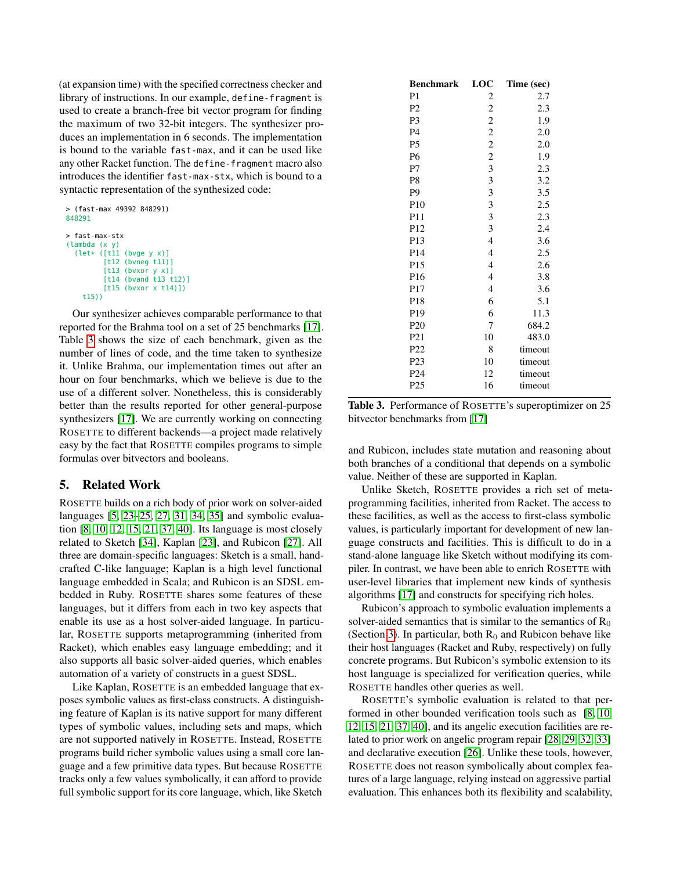(at expansion time) with the specified correctness checker and library of instructions. In our example, define-fragment is used to create a branch-free bit vector program for finding the maximum of two 32-bit integers. The synthesizer produces an implementation in 6 seconds. The implementation is bound to the variable fast-max, and it can be used like any other Racket function. The define-fragment macro also introduces the identifier fast-max-stx, which is bound to a syntactic representation of the synthesized code:

```
> (fast-max 49392 848291)
848291
> fast-max-stx
(lambda (x y)
  (let* ([t11 (bvge y x)]
          [t12 (bvneg t11)]
         [t13 (bvxor y x)][t14 (byand t13 t12)]
          [t15 (bvxor x t14)])
    t15)<sup>(</sup>
```
Our synthesizer achieves comparable performance to that reported for the Brahma tool on a set of 25 benchmarks [\[17\]](#page-15-24). Table [3](#page-14-1) shows the size of each benchmark, given as the number of lines of code, and the time taken to synthesize it. Unlike Brahma, our implementation times out after an hour on four benchmarks, which we believe is due to the use of a different solver. Nonetheless, this is considerably better than the results reported for other general-purpose synthesizers [\[17\]](#page-15-24). We are currently working on connecting ROSETTE to different backends—a project made relatively easy by the fact that ROSETTE compiles programs to simple formulas over bitvectors and booleans.

## <span id="page-14-0"></span>5. Related Work

ROSETTE builds on a rich body of prior work on solver-aided languages [\[5,](#page-15-25) [23](#page-15-0)[–25,](#page-15-26) [27,](#page-15-9) [31,](#page-16-12) [34,](#page-16-0) [35\]](#page-16-13) and symbolic evaluation [\[8,](#page-15-1) [10,](#page-15-2) [12,](#page-15-3) [15,](#page-15-4) [21,](#page-15-5) [37,](#page-16-1) [40\]](#page-16-2). Its language is most closely related to Sketch [\[34\]](#page-16-0), Kaplan [\[23\]](#page-15-0), and Rubicon [\[27\]](#page-15-9). All three are domain-specific languages: Sketch is a small, handcrafted C-like language; Kaplan is a high level functional language embedded in Scala; and Rubicon is an SDSL embedded in Ruby. ROSETTE shares some features of these languages, but it differs from each in two key aspects that enable its use as a host solver-aided language. In particular, ROSETTE supports metaprogramming (inherited from Racket), which enables easy language embedding; and it also supports all basic solver-aided queries, which enables automation of a variety of constructs in a guest SDSL.

Like Kaplan, ROSETTE is an embedded language that exposes symbolic values as first-class constructs. A distinguishing feature of Kaplan is its native support for many different types of symbolic values, including sets and maps, which are not supported natively in ROSETTE. Instead, ROSETTE programs build richer symbolic values using a small core language and a few primitive data types. But because ROSETTE tracks only a few values symbolically, it can afford to provide full symbolic support for its core language, which, like Sketch

| <b>Benchmark</b> | LOC                     | Time (sec) |
|------------------|-------------------------|------------|
| P <sub>1</sub>   | 2                       | 2.7        |
| P <sub>2</sub>   | $\overline{\mathbf{c}}$ | 2.3        |
| P3               | $\overline{c}$          | 1.9        |
| P <sub>4</sub>   | $\overline{c}$          | 2.0        |
| P <sub>5</sub>   | $\overline{c}$          | 2.0        |
| P <sub>6</sub>   | $\overline{c}$          | 1.9        |
| P7               | 3                       | 2.3        |
| P8               | 3                       | 3.2        |
| P <sub>9</sub>   | 3                       | 3.5        |
| P <sub>10</sub>  | 3                       | 2.5        |
| P11              | 3                       | 2.3        |
| P <sub>12</sub>  | 3                       | 2.4        |
| P <sub>13</sub>  | 4                       | 3.6        |
| P <sub>14</sub>  | 4                       | 2.5        |
| P <sub>15</sub>  | $\overline{4}$          | 2.6        |
| P <sub>16</sub>  | $\overline{4}$          | 3.8        |
| P <sub>17</sub>  | $\overline{4}$          | 3.6        |
| P18              | 6                       | 5.1        |
| P <sub>19</sub>  | 6                       | 11.3       |
| P <sub>20</sub>  | $\overline{7}$          | 684.2      |
| P21              | 10                      | 483.0      |
| P <sub>22</sub>  | 8                       | timeout    |
| P <sub>23</sub>  | 10                      | timeout    |
| P <sub>24</sub>  | 12                      | timeout    |
| P <sub>25</sub>  | 16                      | timeout    |

<span id="page-14-1"></span>Table 3. Performance of ROSETTE's superoptimizer on 25 bitvector benchmarks from [\[17\]](#page-15-24)

and Rubicon, includes state mutation and reasoning about both branches of a conditional that depends on a symbolic value. Neither of these are supported in Kaplan.

Unlike Sketch, ROSETTE provides a rich set of metaprogramming facilities, inherited from Racket. The access to these facilities, as well as the access to first-class symbolic values, is particularly important for development of new language constructs and facilities. This is difficult to do in a stand-alone language like Sketch without modifying its compiler. In contrast, we have been able to enrich ROSETTE with user-level libraries that implement new kinds of synthesis algorithms [\[17\]](#page-15-24) and constructs for specifying rich holes.

Rubicon's approach to symbolic evaluation implements a solver-aided semantics that is similar to the semantics of  $R_0$ (Section [3\)](#page-8-0). In particular, both  $R_0$  and Rubicon behave like their host languages (Racket and Ruby, respectively) on fully concrete programs. But Rubicon's symbolic extension to its host language is specialized for verification queries, while ROSETTE handles other queries as well.

ROSETTE's symbolic evaluation is related to that performed in other bounded verification tools such as [\[8,](#page-15-1) [10,](#page-15-2) [12,](#page-15-3) [15,](#page-15-4) [21,](#page-15-5) [37,](#page-16-1) [40\]](#page-16-2), and its angelic execution facilities are related to prior work on angelic program repair [\[28,](#page-16-3) [29,](#page-16-14) [32,](#page-16-4) [33\]](#page-16-15) and declarative execution [\[26\]](#page-15-7). Unlike these tools, however, ROSETTE does not reason symbolically about complex features of a large language, relying instead on aggressive partial evaluation. This enhances both its flexibility and scalability,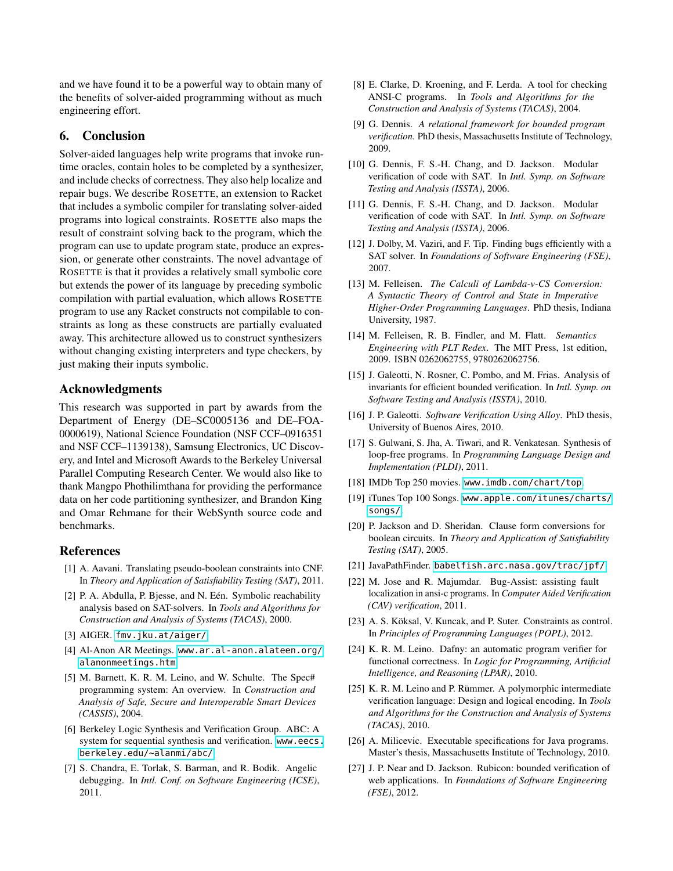and we have found it to be a powerful way to obtain many of the benefits of solver-aided programming without as much engineering effort.

## <span id="page-15-10"></span>6. Conclusion

Solver-aided languages help write programs that invoke runtime oracles, contain holes to be completed by a synthesizer, and include checks of correctness. They also help localize and repair bugs. We describe ROSETTE, an extension to Racket that includes a symbolic compiler for translating solver-aided programs into logical constraints. ROSETTE also maps the result of constraint solving back to the program, which the program can use to update program state, produce an expression, or generate other constraints. The novel advantage of ROSETTE is that it provides a relatively small symbolic core but extends the power of its language by preceding symbolic compilation with partial evaluation, which allows ROSETTE program to use any Racket constructs not compilable to constraints as long as these constructs are partially evaluated away. This architecture allowed us to construct synthesizers without changing existing interpreters and type checkers, by just making their inputs symbolic.

## Acknowledgments

This research was supported in part by awards from the Department of Energy (DE–SC0005136 and DE–FOA-0000619), National Science Foundation (NSF CCF–0916351 and NSF CCF–1139138), Samsung Electronics, UC Discovery, and Intel and Microsoft Awards to the Berkeley Universal Parallel Computing Research Center. We would also like to thank Mangpo Phothilimthana for providing the performance data on her code partitioning synthesizer, and Brandon King and Omar Rehmane for their WebSynth source code and benchmarks.

## References

- <span id="page-15-13"></span>[1] A. Aavani. Translating pseudo-boolean constraints into CNF. In *Theory and Application of Satisfiability Testing (SAT)*, 2011.
- <span id="page-15-11"></span>[2] P. A. Abdulla, P. Bjesse, and N. Eén. Symbolic reachability analysis based on SAT-solvers. In *Tools and Algorithms for Construction and Analysis of Systems (TACAS)*, 2000.
- <span id="page-15-12"></span>[3] AIGER. <fmv.jku.at/aiger/>.
- <span id="page-15-23"></span>[4] Al-Anon AR Meetings. [www.ar.al-anon.alateen.org/](www.ar.al-anon.alateen.org/alanonmeetings.htm) [alanonmeetings.htm](www.ar.al-anon.alateen.org/alanonmeetings.htm).
- <span id="page-15-25"></span>[5] M. Barnett, K. R. M. Leino, and W. Schulte. The Spec# programming system: An overview. In *Construction and Analysis of Safe, Secure and Interoperable Smart Devices (CASSIS)*, 2004.
- <span id="page-15-14"></span>[6] Berkeley Logic Synthesis and Verification Group. ABC: A system for sequential synthesis and verification. [www.eecs.](www.eecs.berkeley.edu/~alanmi/abc/) [berkeley.edu/~alanmi/abc/](www.eecs.berkeley.edu/~alanmi/abc/).
- <span id="page-15-8"></span>[7] S. Chandra, E. Torlak, S. Barman, and R. Bodik. Angelic debugging. In *Intl. Conf. on Software Engineering (ICSE)*, 2011.
- <span id="page-15-1"></span>[8] E. Clarke, D. Kroening, and F. Lerda. A tool for checking ANSI-C programs. In *Tools and Algorithms for the Construction and Analysis of Systems (TACAS)*, 2004.
- <span id="page-15-18"></span>[9] G. Dennis. *A relational framework for bounded program verification*. PhD thesis, Massachusetts Institute of Technology, 2009.
- <span id="page-15-2"></span>[10] G. Dennis, F. S.-H. Chang, and D. Jackson. Modular verification of code with SAT. In *Intl. Symp. on Software Testing and Analysis (ISSTA)*, 2006.
- <span id="page-15-19"></span>[11] G. Dennis, F. S.-H. Chang, and D. Jackson. Modular verification of code with SAT. In *Intl. Symp. on Software Testing and Analysis (ISSTA)*, 2006.
- <span id="page-15-3"></span>[12] J. Dolby, M. Vaziri, and F. Tip. Finding bugs efficiently with a SAT solver. In *Foundations of Software Engineering (FSE)*, 2007.
- <span id="page-15-17"></span>[13] M. Felleisen. *The Calculi of Lambda-v-CS Conversion: A Syntactic Theory of Control and State in Imperative Higher-Order Programming Languages*. PhD thesis, Indiana University, 1987.
- <span id="page-15-16"></span>[14] M. Felleisen, R. B. Findler, and M. Flatt. *Semantics Engineering with PLT Redex*. The MIT Press, 1st edition, 2009. ISBN 0262062755, 9780262062756.
- <span id="page-15-4"></span>[15] J. Galeotti, N. Rosner, C. Pombo, and M. Frias. Analysis of invariants for efficient bounded verification. In *Intl. Symp. on Software Testing and Analysis (ISSTA)*, 2010.
- <span id="page-15-20"></span>[16] J. P. Galeotti. *Software Verification Using Alloy*. PhD thesis, University of Buenos Aires, 2010.
- <span id="page-15-24"></span>[17] S. Gulwani, S. Jha, A. Tiwari, and R. Venkatesan. Synthesis of loop-free programs. In *Programming Language Design and Implementation (PLDI)*, 2011.
- <span id="page-15-22"></span>[18] IMDb Top 250 movies. <www.imdb.com/chart/top>.
- <span id="page-15-21"></span>[19] iTunes Top 100 Songs. [www.apple.com/itunes/charts/](www.apple.com/itunes/charts/songs/) [songs/](www.apple.com/itunes/charts/songs/).
- <span id="page-15-15"></span>[20] P. Jackson and D. Sheridan. Clause form conversions for boolean circuits. In *Theory and Application of Satisfiability Testing (SAT)*, 2005.
- <span id="page-15-5"></span>[21] JavaPathFinder. <babelfish.arc.nasa.gov/trac/jpf/>.
- <span id="page-15-6"></span>[22] M. Jose and R. Majumdar. Bug-Assist: assisting fault localization in ansi-c programs. In *Computer Aided Verification (CAV) verification*, 2011.
- <span id="page-15-0"></span>[23] A. S. Köksal, V. Kuncak, and P. Suter. Constraints as control. In *Principles of Programming Languages (POPL)*, 2012.
- [24] K. R. M. Leino. Dafny: an automatic program verifier for functional correctness. In *Logic for Programming, Artificial Intelligence, and Reasoning (LPAR)*, 2010.
- <span id="page-15-26"></span>[25] K. R. M. Leino and P. Rümmer. A polymorphic intermediate verification language: Design and logical encoding. In *Tools and Algorithms for the Construction and Analysis of Systems (TACAS)*, 2010.
- <span id="page-15-7"></span>[26] A. Milicevic. Executable specifications for Java programs. Master's thesis, Massachusetts Institute of Technology, 2010.
- <span id="page-15-9"></span>[27] J. P. Near and D. Jackson. Rubicon: bounded verification of web applications. In *Foundations of Software Engineering (FSE)*, 2012.